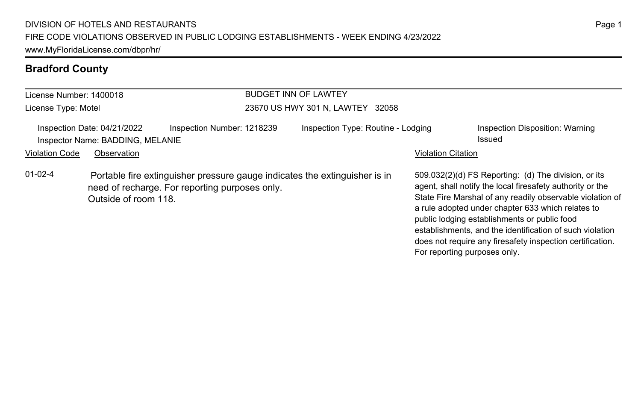# **Bradford County**

| <b>BUDGET INN OF LAWTEY</b><br>License Number: 1400018 |                                                                 |                                                                                                                              |                                    |                              |                                                                                                                                                                                                                                                                                                                                                                                                              |  |  |
|--------------------------------------------------------|-----------------------------------------------------------------|------------------------------------------------------------------------------------------------------------------------------|------------------------------------|------------------------------|--------------------------------------------------------------------------------------------------------------------------------------------------------------------------------------------------------------------------------------------------------------------------------------------------------------------------------------------------------------------------------------------------------------|--|--|
| License Type: Motel                                    |                                                                 |                                                                                                                              | 23670 US HWY 301 N, LAWTEY 32058   |                              |                                                                                                                                                                                                                                                                                                                                                                                                              |  |  |
|                                                        | Inspection Date: 04/21/2022<br>Inspector Name: BADDING, MELANIE | Inspection Number: 1218239                                                                                                   | Inspection Type: Routine - Lodging |                              | Inspection Disposition: Warning<br>Issued                                                                                                                                                                                                                                                                                                                                                                    |  |  |
| <b>Violation Code</b>                                  | Observation                                                     |                                                                                                                              |                                    | <b>Violation Citation</b>    |                                                                                                                                                                                                                                                                                                                                                                                                              |  |  |
| $01-02-4$                                              | Outside of room 118.                                            | Portable fire extinguisher pressure gauge indicates the extinguisher is in<br>need of recharge. For reporting purposes only. |                                    | For reporting purposes only. | 509.032(2)(d) FS Reporting: (d) The division, or its<br>agent, shall notify the local firesafety authority or the<br>State Fire Marshal of any readily observable violation of<br>a rule adopted under chapter 633 which relates to<br>public lodging establishments or public food<br>establishments, and the identification of such violation<br>does not require any firesafety inspection certification. |  |  |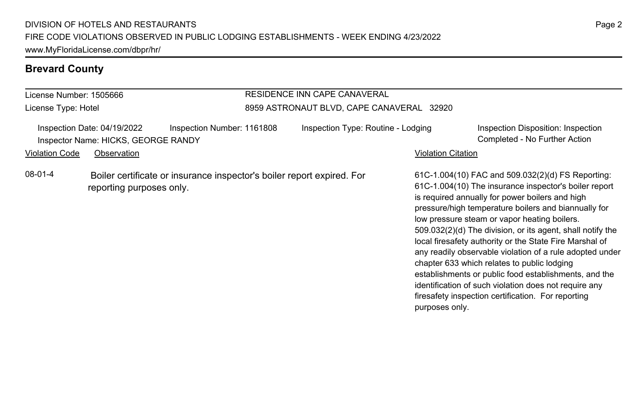#### **Brevard County**

#### License Number: 1505666 License Type: Hotel RESIDENCE INN CAPE CANAVERAL 8959 ASTRONAUT BLVD, CAPE CANAVERAL 32920 Inspection Date: 04/19/2022 Inspection Number: 1161808 Inspection Type: Routine - Lodging Inspection Disposition: Inspection Inspector Name: HICKS, GEORGE RANDY Completed - No Further Action Violation Code Observation **Violation Code** Observation **Violation** Violation Citation Citation Citation Citation 61C-1.004(10) FAC and 509.032(2)(d) FS Reporting: 61C-1.004(10) The insurance inspector's boiler report is required annually for power boilers and high pressure/high temperature boilers and biannually for low pressure steam or vapor heating boilers. 509.032(2)(d) The division, or its agent, shall notify the local firesafety authority or the State Fire Marshal of any readily observable violation of a rule adopted under chapter 633 which relates to public lodging establishments or public food establishments, and the identification of such violation does not require any firesafety inspection certification. For reporting purposes only. 08-01-4 Boiler certificate or insurance inspector's boiler report expired. For reporting purposes only.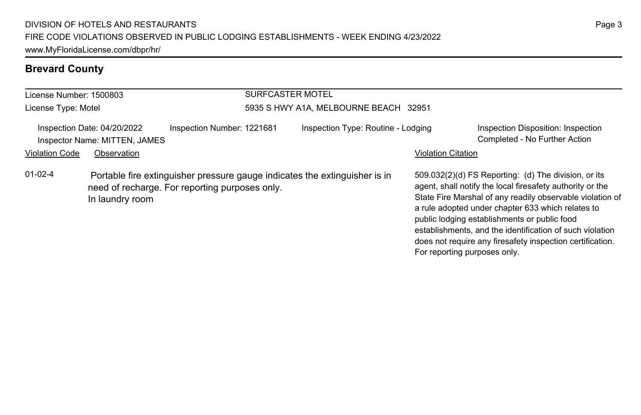# **Brevard County**

| SURFCASTER MOTEL<br>License Number: 1500803 |                                                              |                                                |  |                                                                            |                              |                                                                                                                                                                                                                                                                                                                                                                                                              |
|---------------------------------------------|--------------------------------------------------------------|------------------------------------------------|--|----------------------------------------------------------------------------|------------------------------|--------------------------------------------------------------------------------------------------------------------------------------------------------------------------------------------------------------------------------------------------------------------------------------------------------------------------------------------------------------------------------------------------------------|
| License Type: Motel                         |                                                              |                                                |  | 5935 S HWY A1A, MELBOURNE BEACH 32951                                      |                              |                                                                                                                                                                                                                                                                                                                                                                                                              |
|                                             | Inspection Date: 04/20/2022<br>Inspector Name: MITTEN, JAMES | Inspection Number: 1221681                     |  | Inspection Type: Routine - Lodging                                         |                              | Inspection Disposition: Inspection<br>Completed - No Further Action                                                                                                                                                                                                                                                                                                                                          |
| <b>Violation Code</b>                       | Observation                                                  |                                                |  |                                                                            | <b>Violation Citation</b>    |                                                                                                                                                                                                                                                                                                                                                                                                              |
| $01 - 02 - 4$                               | In laundry room                                              | need of recharge. For reporting purposes only. |  | Portable fire extinguisher pressure gauge indicates the extinguisher is in | For reporting purposes only. | 509.032(2)(d) FS Reporting: (d) The division, or its<br>agent, shall notify the local firesafety authority or the<br>State Fire Marshal of any readily observable violation of<br>a rule adopted under chapter 633 which relates to<br>public lodging establishments or public food<br>establishments, and the identification of such violation<br>does not require any firesafety inspection certification. |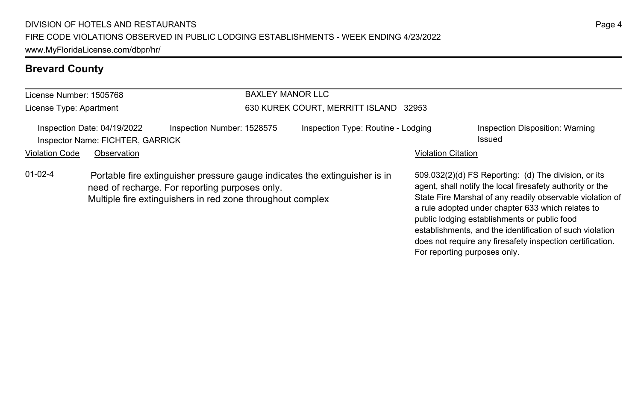# **Brevard County**

| License Number: 1505768 |                                                                 |                                                                                                              | <b>BAXLEY MANOR LLC</b> |                                                                            |                              |                                                                                                                                                                                                                                                                                                                                                                                                              |
|-------------------------|-----------------------------------------------------------------|--------------------------------------------------------------------------------------------------------------|-------------------------|----------------------------------------------------------------------------|------------------------------|--------------------------------------------------------------------------------------------------------------------------------------------------------------------------------------------------------------------------------------------------------------------------------------------------------------------------------------------------------------------------------------------------------------|
| License Type: Apartment |                                                                 |                                                                                                              |                         | 630 KUREK COURT, MERRITT ISLAND 32953                                      |                              |                                                                                                                                                                                                                                                                                                                                                                                                              |
|                         | Inspection Date: 04/19/2022<br>Inspector Name: FICHTER, GARRICK | Inspection Number: 1528575                                                                                   |                         | Inspection Type: Routine - Lodging                                         |                              | Inspection Disposition: Warning<br>Issued                                                                                                                                                                                                                                                                                                                                                                    |
| <b>Violation Code</b>   | Observation                                                     |                                                                                                              |                         |                                                                            | <b>Violation Citation</b>    |                                                                                                                                                                                                                                                                                                                                                                                                              |
| $01 - 02 - 4$           |                                                                 | need of recharge. For reporting purposes only.<br>Multiple fire extinguishers in red zone throughout complex |                         | Portable fire extinguisher pressure gauge indicates the extinguisher is in | For reporting purposes only. | 509.032(2)(d) FS Reporting: (d) The division, or its<br>agent, shall notify the local firesafety authority or the<br>State Fire Marshal of any readily observable violation of<br>a rule adopted under chapter 633 which relates to<br>public lodging establishments or public food<br>establishments, and the identification of such violation<br>does not require any firesafety inspection certification. |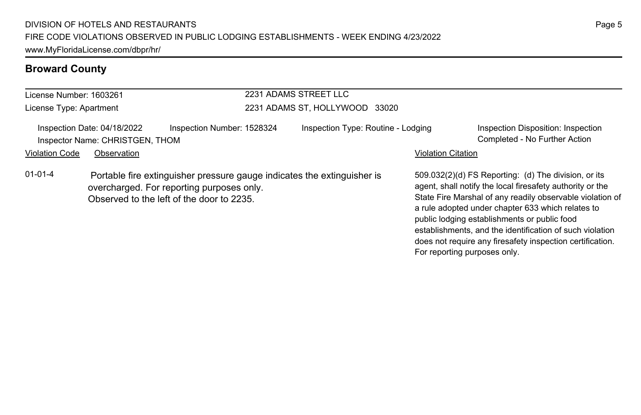| License Number: 1603261 |                                                                |                                                                                                                                                                   | 2231 ADAMS STREET LLC              |                              |                                                                                                                                                                                                                                                                                                                                                                                                              |
|-------------------------|----------------------------------------------------------------|-------------------------------------------------------------------------------------------------------------------------------------------------------------------|------------------------------------|------------------------------|--------------------------------------------------------------------------------------------------------------------------------------------------------------------------------------------------------------------------------------------------------------------------------------------------------------------------------------------------------------------------------------------------------------|
| License Type: Apartment |                                                                |                                                                                                                                                                   | 2231 ADAMS ST. HOLLYWOOD 33020     |                              |                                                                                                                                                                                                                                                                                                                                                                                                              |
|                         | Inspection Date: 04/18/2022<br>Inspector Name: CHRISTGEN, THOM | Inspection Number: 1528324                                                                                                                                        | Inspection Type: Routine - Lodging |                              | Inspection Disposition: Inspection<br>Completed - No Further Action                                                                                                                                                                                                                                                                                                                                          |
| <b>Violation Code</b>   | Observation                                                    |                                                                                                                                                                   |                                    | <b>Violation Citation</b>    |                                                                                                                                                                                                                                                                                                                                                                                                              |
| $01 - 01 - 4$           |                                                                | Portable fire extinguisher pressure gauge indicates the extinguisher is<br>overcharged. For reporting purposes only.<br>Observed to the left of the door to 2235. |                                    | For reporting purposes only. | 509.032(2)(d) FS Reporting: (d) The division, or its<br>agent, shall notify the local firesafety authority or the<br>State Fire Marshal of any readily observable violation of<br>a rule adopted under chapter 633 which relates to<br>public lodging establishments or public food<br>establishments, and the identification of such violation<br>does not require any firesafety inspection certification. |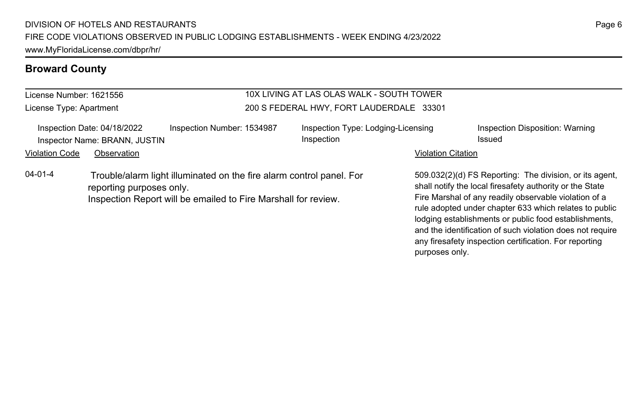### License Number: 1621556

License Type: Apartment

### 10X LIVING AT LAS OLAS WALK - SOUTH TOWER 200 S FEDERAL HWY, FORT LAUDERDALE 33301

| Inspection Date: 04/18/2022   | Inspection Number: 1534987 | Inspection Type: Lodging-Licensing | Inspec |
|-------------------------------|----------------------------|------------------------------------|--------|
| Inspector Name: BRANN, JUSTIN |                            | Inspection                         | Issued |

reporting purposes only.

04-01-4 Trouble/alarm light illuminated on the fire alarm control panel. For

Inspection Report will be emailed to Fire Marshall for review.

Inspection Disposition: Warning

#### Violation Code Observation **Violation Code** Observation **Violation** Violation Citation Citation Citation Citation

509.032(2)(d) FS Reporting: The division, or its agent, shall notify the local firesafety authority or the State Fire Marshal of any readily observable violation of a rule adopted under chapter 633 which relates to public lodging establishments or public food establishments, and the identification of such violation does not require any firesafety inspection certification. For reporting purposes only.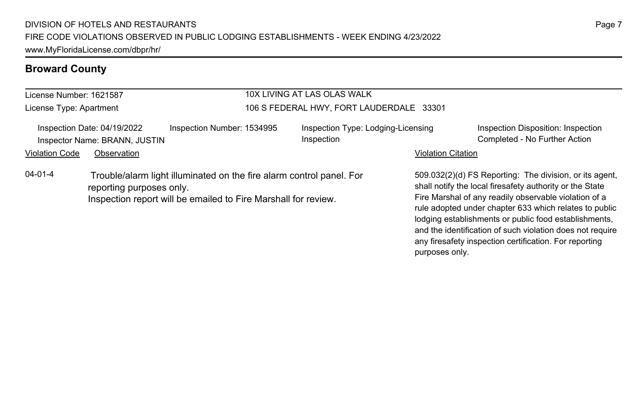License Number: 1621587 License Type: Apartment

#### 10X LIVING AT LAS OLAS WALK 106 S FEDERAL HWY, FORT LAUDERDALE 33301

Inspection Date: 04/19/2022 Inspection Number: 1534995 Inspection Type: Lodging-Licensing Inspector Name: BRANN, JUSTIN Completed - No Further Action

Inspection

Inspection Disposition: Inspection

#### Violation Code Observation **Violation Code** Observation **Violation** Violation Citation Citation Citation Citation

04-01-4 Trouble/alarm light illuminated on the fire alarm control panel. For reporting purposes only. Inspection report will be emailed to Fire Marshall for review.

509.032(2)(d) FS Reporting: The division, or its agent, shall notify the local firesafety authority or the State Fire Marshal of any readily observable violation of a rule adopted under chapter 633 which relates to public lodging establishments or public food establishments, and the identification of such violation does not require any firesafety inspection certification. For reporting purposes only.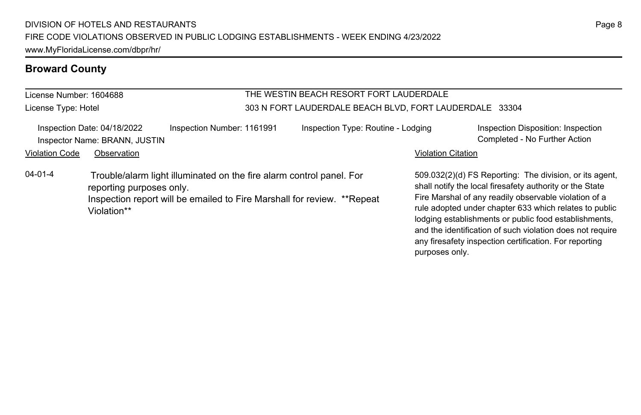License Number: 1604688 License Type: Hotel

### THE WESTIN BEACH RESORT FORT LAUDERDALE 303 N FORT LAUDERDALE BEACH BLVD, FORT LAUDERDALE 33304

|                       | Inspection Date: 04/18/2022<br>Inspector Name: BRANN, JUSTIN | Inspection Number: 1161991                                                                                                                       | Inspection Type: Routine - Lodging |                           | Inspection Disposition: Inspection<br>Completed - No Further Action                                                                                                                                                                                                                                                                                          |
|-----------------------|--------------------------------------------------------------|--------------------------------------------------------------------------------------------------------------------------------------------------|------------------------------------|---------------------------|--------------------------------------------------------------------------------------------------------------------------------------------------------------------------------------------------------------------------------------------------------------------------------------------------------------------------------------------------------------|
| <b>Violation Code</b> | Observation                                                  |                                                                                                                                                  |                                    | <b>Violation Citation</b> |                                                                                                                                                                                                                                                                                                                                                              |
| $04 - 01 - 4$         | reporting purposes only.<br>Violation**                      | Trouble/alarm light illuminated on the fire alarm control panel. For<br>Inspection report will be emailed to Fire Marshall for review. ** Repeat |                                    |                           | 509.032(2)(d) FS Reporting: The division, or its agent,<br>shall notify the local firesafety authority or the State<br>Fire Marshal of any readily observable violation of a<br>rule adopted under chapter 633 which relates to public<br>lodging establishments or public food establishments,<br>and the identification of such violation does not require |

any firesafety inspection certification. For reporting

purposes only.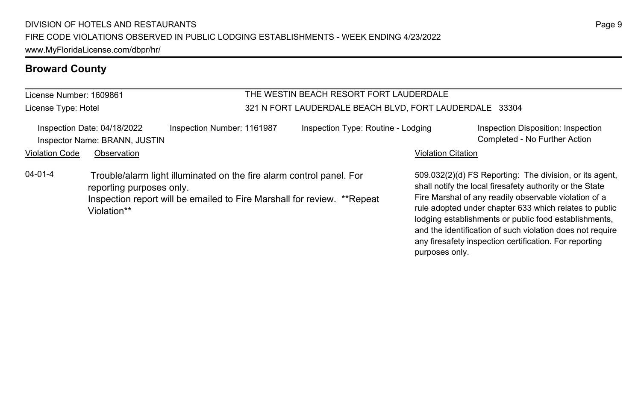License Number: 1609861 License Type: Hotel

### THE WESTIN BEACH RESORT FORT LAUDERDALE 321 N FORT LAUDERDALE BEACH BLVD, FORT LAUDERDALE 33304

|                       | Inspection Date: 04/18/2022<br>Inspector Name: BRANN, JUSTIN | Inspection Number: 1161987                                                                                                                      | Inspection Type: Routine - Lodging |                           | Inspection Disposition: Inspection<br>Completed - No Further Action                                                                                                                                                                                                                                                                                          |
|-----------------------|--------------------------------------------------------------|-------------------------------------------------------------------------------------------------------------------------------------------------|------------------------------------|---------------------------|--------------------------------------------------------------------------------------------------------------------------------------------------------------------------------------------------------------------------------------------------------------------------------------------------------------------------------------------------------------|
| <b>Violation Code</b> | Observation                                                  |                                                                                                                                                 |                                    | <b>Violation Citation</b> |                                                                                                                                                                                                                                                                                                                                                              |
| $04 - 01 - 4$         | reporting purposes only.<br>Violation**                      | Trouble/alarm light illuminated on the fire alarm control panel. For<br>Inspection report will be emailed to Fire Marshall for review. **Repeat |                                    |                           | 509.032(2)(d) FS Reporting: The division, or its agent.<br>shall notify the local firesafety authority or the State<br>Fire Marshal of any readily observable violation of a<br>rule adopted under chapter 633 which relates to public<br>lodging establishments or public food establishments,<br>and the identification of such violation does not require |

any firesafety inspection certification. For reporting

purposes only.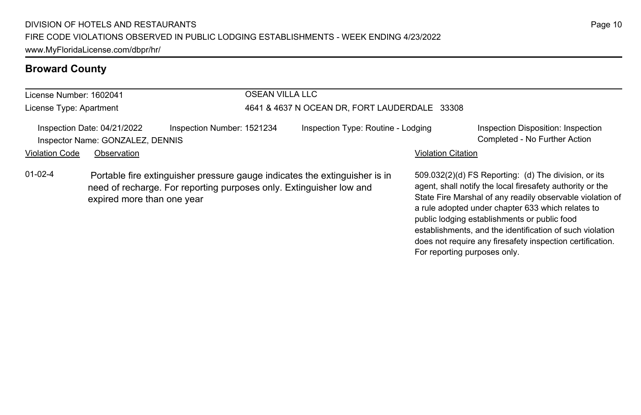| License Number: 1602041 |                                                                 |                            | <b>OSEAN VILLA LLC</b>                                                                                                                            |                              |                                                                                                                                                                                                                                                                                                                                                                                                              |
|-------------------------|-----------------------------------------------------------------|----------------------------|---------------------------------------------------------------------------------------------------------------------------------------------------|------------------------------|--------------------------------------------------------------------------------------------------------------------------------------------------------------------------------------------------------------------------------------------------------------------------------------------------------------------------------------------------------------------------------------------------------------|
| License Type: Apartment |                                                                 |                            | 4641 & 4637 N OCEAN DR, FORT LAUDERDALE 33308                                                                                                     |                              |                                                                                                                                                                                                                                                                                                                                                                                                              |
|                         | Inspection Date: 04/21/2022<br>Inspector Name: GONZALEZ, DENNIS | Inspection Number: 1521234 | Inspection Type: Routine - Lodging                                                                                                                |                              | Inspection Disposition: Inspection<br>Completed - No Further Action                                                                                                                                                                                                                                                                                                                                          |
| <b>Violation Code</b>   | Observation                                                     |                            |                                                                                                                                                   | <b>Violation Citation</b>    |                                                                                                                                                                                                                                                                                                                                                                                                              |
| $01 - 02 - 4$           | expired more than one year                                      |                            | Portable fire extinguisher pressure gauge indicates the extinguisher is in<br>need of recharge. For reporting purposes only. Extinguisher low and | For reporting purposes only. | 509.032(2)(d) FS Reporting: (d) The division, or its<br>agent, shall notify the local firesafety authority or the<br>State Fire Marshal of any readily observable violation of<br>a rule adopted under chapter 633 which relates to<br>public lodging establishments or public food<br>establishments, and the identification of such violation<br>does not require any firesafety inspection certification. |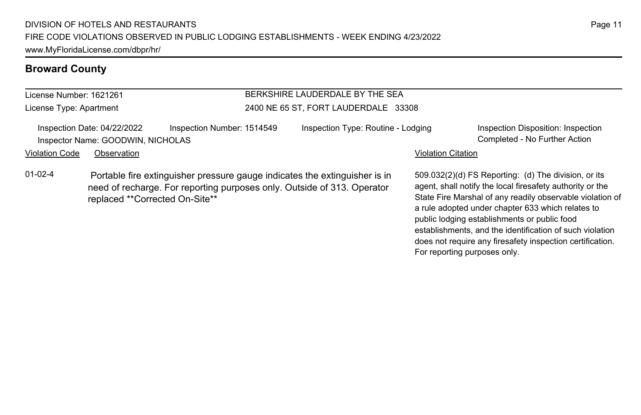replaced \*\*Corrected On-Site\*\*

| License Number: 1621261<br>License Type: Apartment |                                   |                                                                                                                                                       | BERKSHIRE LAUDERDALE BY THE SEA<br>2400 NE 65 ST, FORT LAUDERDALE 33308 |                           |                                                                                                                   |  |
|----------------------------------------------------|-----------------------------------|-------------------------------------------------------------------------------------------------------------------------------------------------------|-------------------------------------------------------------------------|---------------------------|-------------------------------------------------------------------------------------------------------------------|--|
|                                                    | Inspection Date: 04/22/2022       | Inspection Number: 1514549                                                                                                                            | Inspection Type: Routine - Lodging                                      |                           | Inspection Disposition: Inspection                                                                                |  |
|                                                    | Inspector Name: GOODWIN, NICHOLAS |                                                                                                                                                       |                                                                         |                           | Completed - No Further Action                                                                                     |  |
| <b>Violation Code</b>                              | Observation                       |                                                                                                                                                       |                                                                         | <b>Violation Citation</b> |                                                                                                                   |  |
| $01 - 02 - 4$                                      |                                   | Portable fire extinguisher pressure gauge indicates the extinguisher is in<br>need of recharge. For reporting purposes only. Outside of 313. Operator |                                                                         |                           | 509.032(2)(d) FS Reporting: (d) The division, or its<br>agent, shall notify the local firesafety authority or the |  |

509.032(2)(d) FS Reporting: (d) The division, or its agent, shall notify the local firesafety authority or the State Fire Marshal of any readily observable violation of a rule adopted under chapter 633 which relates to public lodging establishments or public food establishments, and the identification of such violation does not require any firesafety inspection certification. For reporting purposes only.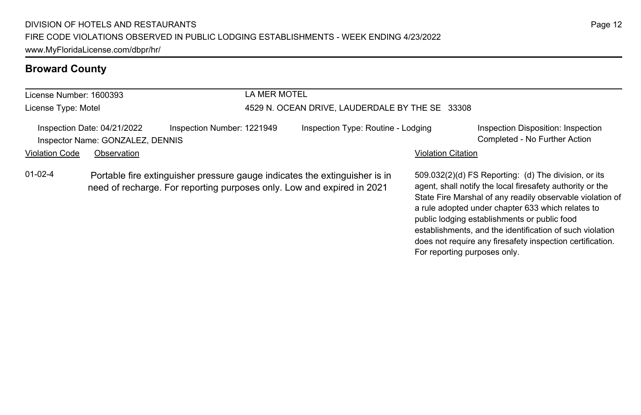| License Number: 1600393 |                                                                 |                                                                                                                                                      | LA MER MOTEL                                    |                           |                                                                                                                                                                                                                                                                                                                                                 |  |  |
|-------------------------|-----------------------------------------------------------------|------------------------------------------------------------------------------------------------------------------------------------------------------|-------------------------------------------------|---------------------------|-------------------------------------------------------------------------------------------------------------------------------------------------------------------------------------------------------------------------------------------------------------------------------------------------------------------------------------------------|--|--|
| License Type: Motel     |                                                                 |                                                                                                                                                      | 4529 N. OCEAN DRIVE, LAUDERDALE BY THE SE 33308 |                           |                                                                                                                                                                                                                                                                                                                                                 |  |  |
|                         | Inspection Date: 04/21/2022<br>Inspector Name: GONZALEZ, DENNIS | Inspection Number: 1221949                                                                                                                           | Inspection Type: Routine - Lodging              |                           | Inspection Disposition: Inspection<br>Completed - No Further Action                                                                                                                                                                                                                                                                             |  |  |
| <b>Violation Code</b>   | Observation                                                     |                                                                                                                                                      |                                                 | <b>Violation Citation</b> |                                                                                                                                                                                                                                                                                                                                                 |  |  |
| $01 - 02 - 4$           |                                                                 | Portable fire extinguisher pressure gauge indicates the extinguisher is in<br>need of recharge. For reporting purposes only. Low and expired in 2021 |                                                 |                           | 509.032(2)(d) FS Reporting: (d) The division, or its<br>agent, shall notify the local firesafety authority or the<br>State Fire Marshal of any readily observable violation of<br>a rule adopted under chapter 633 which relates to<br>public lodging establishments or public food<br>establishments, and the identification of such violation |  |  |

does not require any firesafety inspection certification.

For reporting purposes only.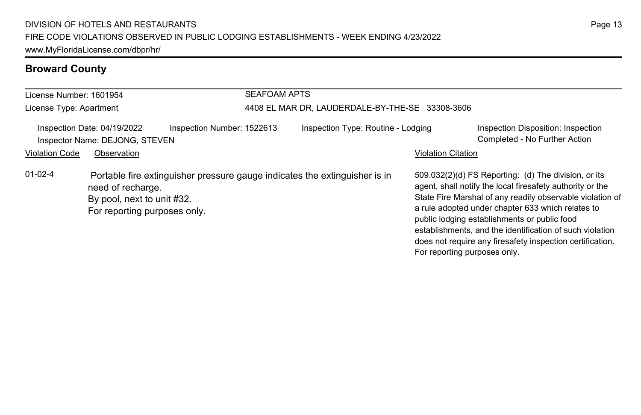| License Number: 1601954 |                                                                                 |                            | <b>SEAFOAM APTS</b>                             |                                                                            |                              |                                                                                                                                                                                                                                                                                                                                                                                                              |  |
|-------------------------|---------------------------------------------------------------------------------|----------------------------|-------------------------------------------------|----------------------------------------------------------------------------|------------------------------|--------------------------------------------------------------------------------------------------------------------------------------------------------------------------------------------------------------------------------------------------------------------------------------------------------------------------------------------------------------------------------------------------------------|--|
| License Type: Apartment |                                                                                 |                            | 4408 EL MAR DR, LAUDERDALE-BY-THE-SE 33308-3606 |                                                                            |                              |                                                                                                                                                                                                                                                                                                                                                                                                              |  |
|                         | Inspection Date: 04/19/2022<br>Inspector Name: DEJONG, STEVEN                   | Inspection Number: 1522613 |                                                 | Inspection Type: Routine - Lodging                                         |                              | Inspection Disposition: Inspection<br>Completed - No Further Action                                                                                                                                                                                                                                                                                                                                          |  |
| <b>Violation Code</b>   | Observation                                                                     |                            |                                                 |                                                                            | <b>Violation Citation</b>    |                                                                                                                                                                                                                                                                                                                                                                                                              |  |
| $01 - 02 - 4$           | need of recharge.<br>By pool, next to unit #32.<br>For reporting purposes only. |                            |                                                 | Portable fire extinguisher pressure gauge indicates the extinguisher is in | For reporting purposes only. | 509.032(2)(d) FS Reporting: (d) The division, or its<br>agent, shall notify the local firesafety authority or the<br>State Fire Marshal of any readily observable violation of<br>a rule adopted under chapter 633 which relates to<br>public lodging establishments or public food<br>establishments, and the identification of such violation<br>does not require any firesafety inspection certification. |  |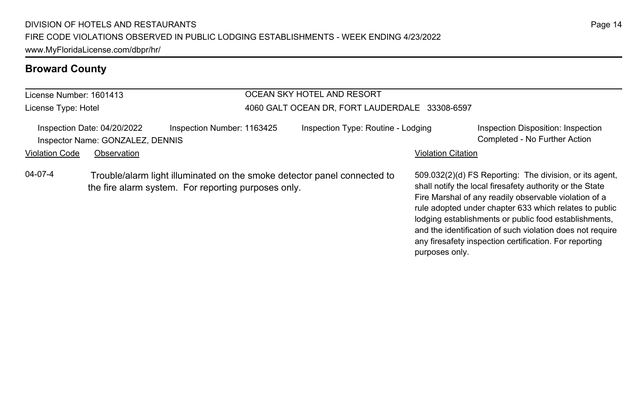| OCEAN SKY HOTEL AND RESORT<br>License Number: 1601413 |                                                                 |                                                                                                                                 |                                                |                           |                                                                                                                                                                                                                                                                                                                                                                                                                        |
|-------------------------------------------------------|-----------------------------------------------------------------|---------------------------------------------------------------------------------------------------------------------------------|------------------------------------------------|---------------------------|------------------------------------------------------------------------------------------------------------------------------------------------------------------------------------------------------------------------------------------------------------------------------------------------------------------------------------------------------------------------------------------------------------------------|
| License Type: Hotel                                   |                                                                 |                                                                                                                                 | 4060 GALT OCEAN DR, FORT LAUDERDALE 33308-6597 |                           |                                                                                                                                                                                                                                                                                                                                                                                                                        |
|                                                       | Inspection Date: 04/20/2022<br>Inspector Name: GONZALEZ, DENNIS | Inspection Number: 1163425                                                                                                      | Inspection Type: Routine - Lodging             |                           | Inspection Disposition: Inspection<br>Completed - No Further Action                                                                                                                                                                                                                                                                                                                                                    |
| <b>Violation Code</b>                                 | Observation                                                     |                                                                                                                                 |                                                | <b>Violation Citation</b> |                                                                                                                                                                                                                                                                                                                                                                                                                        |
| 04-07-4                                               |                                                                 | Trouble/alarm light illuminated on the smoke detector panel connected to<br>the fire alarm system. For reporting purposes only. |                                                | purposes only.            | 509.032(2)(d) FS Reporting: The division, or its agent.<br>shall notify the local firesafety authority or the State<br>Fire Marshal of any readily observable violation of a<br>rule adopted under chapter 633 which relates to public<br>lodging establishments or public food establishments,<br>and the identification of such violation does not require<br>any firesafety inspection certification. For reporting |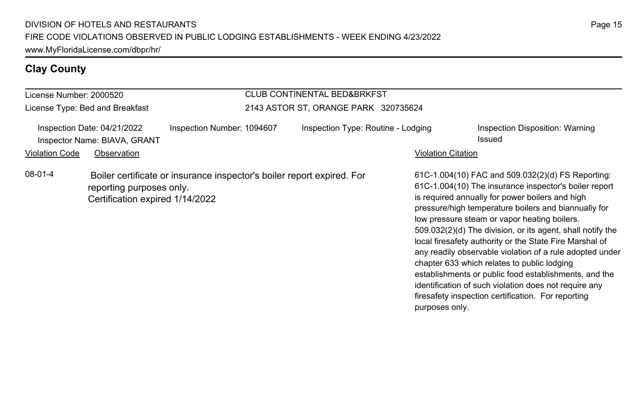# **Clay County**

| License Number: 2000520 |                                                             |                                                                        | <b>CLUB CONTINENTAL BED&amp;BRKFST</b> |                    |                                                                                                                                                                                                                                                                                                                                                                                                                                                                                                                                                                                                                                                                                      |  |  |
|-------------------------|-------------------------------------------------------------|------------------------------------------------------------------------|----------------------------------------|--------------------|--------------------------------------------------------------------------------------------------------------------------------------------------------------------------------------------------------------------------------------------------------------------------------------------------------------------------------------------------------------------------------------------------------------------------------------------------------------------------------------------------------------------------------------------------------------------------------------------------------------------------------------------------------------------------------------|--|--|
|                         | License Type: Bed and Breakfast                             |                                                                        | 2143 ASTOR ST, ORANGE PARK 320735624   |                    |                                                                                                                                                                                                                                                                                                                                                                                                                                                                                                                                                                                                                                                                                      |  |  |
|                         | Inspection Date: 04/21/2022<br>Inspector Name: BIAVA, GRANT | Inspection Number: 1094607                                             | Inspection Type: Routine - Lodging     |                    | Inspection Disposition: Warning<br>Issued                                                                                                                                                                                                                                                                                                                                                                                                                                                                                                                                                                                                                                            |  |  |
| <b>Violation Code</b>   | Observation                                                 |                                                                        |                                        | Violation Citation |                                                                                                                                                                                                                                                                                                                                                                                                                                                                                                                                                                                                                                                                                      |  |  |
| $08-01-4$               | reporting purposes only.<br>Certification expired 1/14/2022 | Boiler certificate or insurance inspector's boiler report expired. For |                                        | purposes only.     | 61C-1.004(10) FAC and $509.032(2)$ (d) FS Reporting:<br>61C-1.004(10) The insurance inspector's boiler report<br>is required annually for power boilers and high<br>pressure/high temperature boilers and biannually for<br>low pressure steam or vapor heating boilers.<br>509.032(2)(d) The division, or its agent, shall notify the<br>local firesafety authority or the State Fire Marshal of<br>any readily observable violation of a rule adopted under<br>chapter 633 which relates to public lodging<br>establishments or public food establishments, and the<br>identification of such violation does not require any<br>firesafety inspection certification. For reporting |  |  |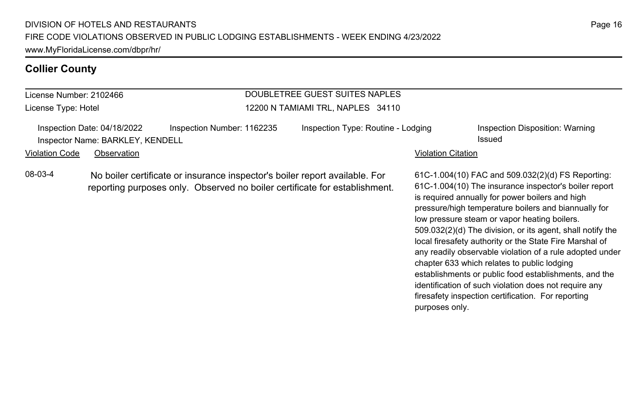#### **Collier County**

#### License Number: 2102466 License Type: Hotel

#### DOUBLETREE GUEST SUITES NAPLES 12200 N TAMIAMI TRL, NAPLES 34110

|                | Inspection Date: 04/18/2022      | Inspection Number: 1162235 | Inspection Type: Routine - Lodging | Inspection Disposition: Warning |
|----------------|----------------------------------|----------------------------|------------------------------------|---------------------------------|
|                | Inspector Name: BARKLEY, KENDELL |                            |                                    | <b>Issued</b>                   |
| Violation Code | Observation                      |                            | Violation Citation                 |                                 |

08-03-4 No boiler certificate or insurance inspector's boiler report available. For reporting purposes only. Observed no boiler certificate for establishment. 61C-1.004(10) FAC and 509.032(2)(d) FS Reporting: 61C-1.004(10) The insurance inspector's boiler report is required annually for power boilers and high pressure/high temperature boilers and biannually for low pressure steam or vapor heating boilers. 509.032(2)(d) The division, or its agent, shall notify the local firesafety authority or the State Fire Marshal of any readily observable violation of a rule adopted under chapter 633 which relates to public lodging establishments or public food establishments, and the identification of such violation does not require any firesafety inspection certification. For reporting purposes only.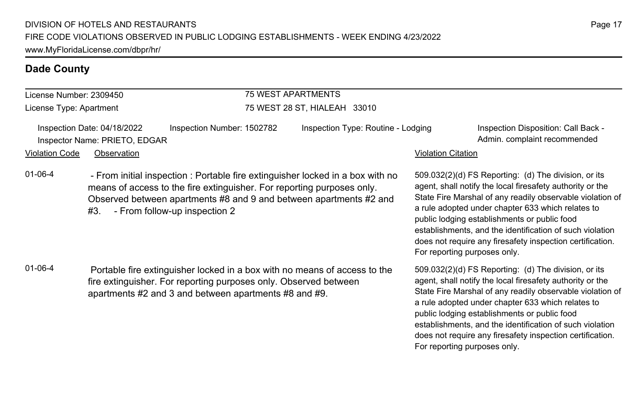fire extinguisher. For reporting purposes only. Observed between apartments #2 and 3 and between apartments #8 and #9.

#### **Dade County**

#### License Number: 2309450 License Type: Apartment 75 WEST APARTMENTS 75 WEST 28 ST, HIALEAH 33010 Inspection Date: 04/18/2022 Inspection Number: 1502782 Inspection Type: Routine - Lodging Inspection Disposition: Call Back -Inspector Name: PRIETO, EDGAR Admin. complaint recommended Violation Code Observation Violation Citation 509.032(2)(d) FS Reporting: (d) The division, or its agent, shall notify the local firesafety authority or the State Fire Marshal of any readily observable violation of a rule adopted under chapter 633 which relates to public lodging establishments or public food establishments, and the identification of such violation does not require any firesafety inspection certification. For reporting purposes only. 01-06-4 - From initial inspection : Portable fire extinguisher locked in a box with no means of access to the fire extinguisher. For reporting purposes only. Observed between apartments #8 and 9 and between apartments #2 and #3. - From follow-up inspection 2 509.032(2)(d) FS Reporting: (d) The division, or its 01-06-4 Portable fire extinguisher locked in a box with no means of access to the

agent, shall notify the local firesafety authority or the State Fire Marshal of any readily observable violation of a rule adopted under chapter 633 which relates to public lodging establishments or public food establishments, and the identification of such violation does not require any firesafety inspection certification. For reporting purposes only.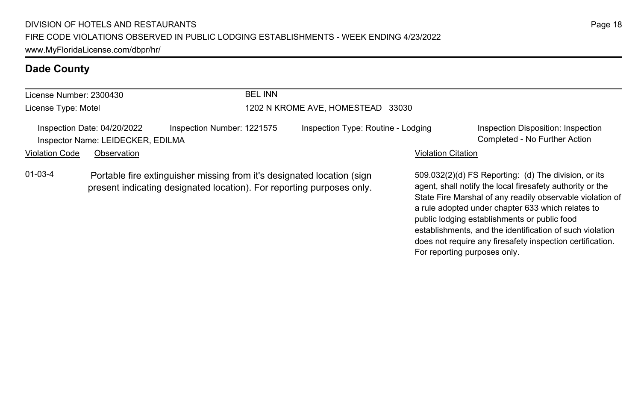| License Number: 2300430 |                                                                  | <b>BEL INN</b>                                                                                                                                  |                                    |                           |                                                                                                                                                                                |
|-------------------------|------------------------------------------------------------------|-------------------------------------------------------------------------------------------------------------------------------------------------|------------------------------------|---------------------------|--------------------------------------------------------------------------------------------------------------------------------------------------------------------------------|
| License Type: Motel     |                                                                  |                                                                                                                                                 | 1202 N KROME AVE, HOMESTEAD 33030  |                           |                                                                                                                                                                                |
|                         | Inspection Date: 04/20/2022<br>Inspector Name: LEIDECKER, EDILMA | Inspection Number: 1221575                                                                                                                      | Inspection Type: Routine - Lodging |                           | Inspection Disposition: Inspection<br>Completed - No Further Action                                                                                                            |
| <b>Violation Code</b>   | Observation                                                      |                                                                                                                                                 |                                    | <b>Violation Citation</b> |                                                                                                                                                                                |
| $01 - 03 - 4$           |                                                                  | Portable fire extinguisher missing from it's designated location (sign<br>present indicating designated location). For reporting purposes only. |                                    |                           | 509.032(2)(d) FS Reporting: (d) The division, or its<br>agent, shall notify the local firesafety authority or the<br>State Fire Marshal of any readily observable violation of |

State Fire Marshal of any readily observable violation of a rule adopted under chapter 633 which relates to public lodging establishments or public food establishments, and the identification of such violation does not require any firesafety inspection certification. For reporting purposes only.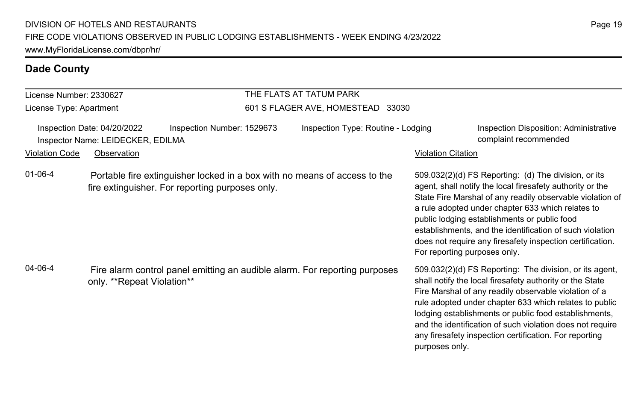| License Number: 2330627                                          |                            |                                                                                                                              | THE FLATS AT TATUM PARK            |                           |                                                                                                                                                                                                                                                                                                                                                                                                                                              |  |
|------------------------------------------------------------------|----------------------------|------------------------------------------------------------------------------------------------------------------------------|------------------------------------|---------------------------|----------------------------------------------------------------------------------------------------------------------------------------------------------------------------------------------------------------------------------------------------------------------------------------------------------------------------------------------------------------------------------------------------------------------------------------------|--|
| License Type: Apartment                                          |                            |                                                                                                                              | 601 S FLAGER AVE, HOMESTEAD 33030  |                           |                                                                                                                                                                                                                                                                                                                                                                                                                                              |  |
| Inspection Date: 04/20/2022<br>Inspector Name: LEIDECKER, EDILMA |                            | Inspection Number: 1529673                                                                                                   | Inspection Type: Routine - Lodging |                           | Inspection Disposition: Administrative<br>complaint recommended                                                                                                                                                                                                                                                                                                                                                                              |  |
| <b>Violation Code</b>                                            | Observation                |                                                                                                                              |                                    | <b>Violation Citation</b> |                                                                                                                                                                                                                                                                                                                                                                                                                                              |  |
| $01 - 06 - 4$                                                    |                            | Portable fire extinguisher locked in a box with no means of access to the<br>fire extinguisher. For reporting purposes only. |                                    |                           | 509.032(2)(d) FS Reporting: (d) The division, or its<br>agent, shall notify the local firesafety authority or the<br>State Fire Marshal of any readily observable violation of<br>a rule adopted under chapter 633 which relates to<br>public lodging establishments or public food<br>establishments, and the identification of such violation<br>does not require any firesafety inspection certification.<br>For reporting purposes only. |  |
| 04-06-4                                                          | only. **Repeat Violation** | Fire alarm control panel emitting an audible alarm. For reporting purposes                                                   |                                    | purposes only.            | 509.032(2)(d) FS Reporting: The division, or its agent,<br>shall notify the local firesafety authority or the State<br>Fire Marshal of any readily observable violation of a<br>rule adopted under chapter 633 which relates to public<br>lodging establishments or public food establishments,<br>and the identification of such violation does not require<br>any firesafety inspection certification. For reporting                       |  |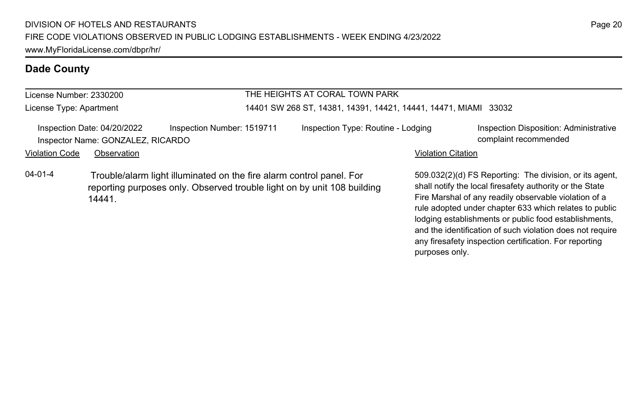#### License Number: 2330200 License Type: Apartment THE HEIGHTS AT CORAL TOWN PARK 14401 SW 268 ST, 14381, 14391, 14421, 14441, 14471, MIAMI 33032 Inspection Date: 04/20/2022 Inspection Number: 1519711 Inspection Type: Routine - Lodging Inspection Disposition: Administrative Inspector Name: GONZALEZ, RICARDO complaint recommended Violation Code Observation **Violation Code** Observation **Violation** Violation Citation Citation Citation Citation 509.032(2)(d) FS Reporting: The division, or its agent, shall notify the local firesafety authority or the State Fire Marshal of any readily observable violation of a 04-01-4 Trouble/alarm light illuminated on the fire alarm control panel. For reporting purposes only. Observed trouble light on by unit 108 building 14441.

#### Page 20

rule adopted under chapter 633 which relates to public lodging establishments or public food establishments, and the identification of such violation does not require any firesafety inspection certification. For reporting

purposes only.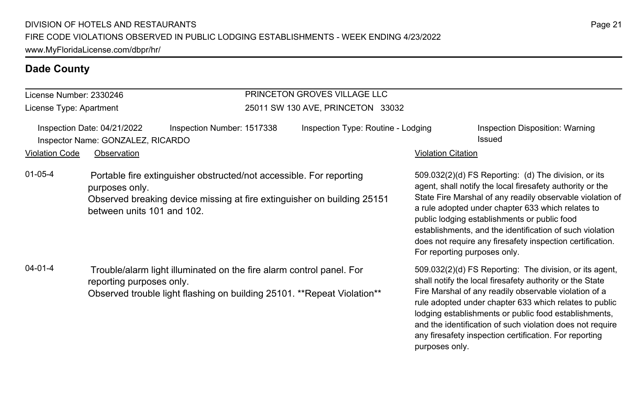License Number: 2330246 License Type: Apartment

### PRINCETON GROVES VILLAGE LLC 25011 SW 130 AVE, PRINCETON 33032

Inspection Date: 04/21/2022 Inspection Number: 1517338 Inspection Type: Routine - Lodging Inspection Disposition: Warning Inspector Name: GONZALEZ, RICARDO **Inspector Name: Insurance Issued** 

Violation Code Observation **Violation Code** Observation **Violation** Violation Citation Citation Citation Citation

01-05-4 Portable fire extinguisher obstructed/not accessible. For reporting purposes only.

Observed breaking device missing at fire extinguisher on building 25151 between units 101 and 102.

04-01-4 Trouble/alarm light illuminated on the fire alarm control panel. For reporting purposes only. Observed trouble light flashing on building 25101. \*\*Repeat Violation\*\*

509.032(2)(d) FS Reporting: (d) The division, or its agent, shall notify the local firesafety authority or the State Fire Marshal of any readily observable violation of a rule adopted under chapter 633 which relates to public lodging establishments or public food establishments, and the identification of such violation does not require any firesafety inspection certification. For reporting purposes only.

509.032(2)(d) FS Reporting: The division, or its agent, shall notify the local firesafety authority or the State Fire Marshal of any readily observable violation of a rule adopted under chapter 633 which relates to public lodging establishments or public food establishments, and the identification of such violation does not require any firesafety inspection certification. For reporting purposes only.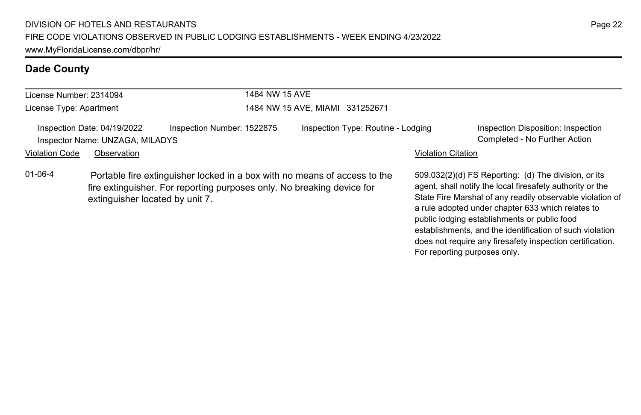| License Number: 2314094 |                                                                | 1484 NW 15 AVE                                                                                                                                      |                                    |                           |                                                                                                                                                                                                                                                                                                                                                                                                              |  |  |
|-------------------------|----------------------------------------------------------------|-----------------------------------------------------------------------------------------------------------------------------------------------------|------------------------------------|---------------------------|--------------------------------------------------------------------------------------------------------------------------------------------------------------------------------------------------------------------------------------------------------------------------------------------------------------------------------------------------------------------------------------------------------------|--|--|
| License Type: Apartment |                                                                |                                                                                                                                                     | 1484 NW 15 AVE, MIAMI 331252671    |                           |                                                                                                                                                                                                                                                                                                                                                                                                              |  |  |
|                         | Inspection Date: 04/19/2022<br>Inspector Name: UNZAGA, MILADYS | Inspection Number: 1522875                                                                                                                          | Inspection Type: Routine - Lodging |                           | Inspection Disposition: Inspection<br>Completed - No Further Action                                                                                                                                                                                                                                                                                                                                          |  |  |
| <b>Violation Code</b>   | Observation                                                    |                                                                                                                                                     |                                    | <b>Violation Citation</b> |                                                                                                                                                                                                                                                                                                                                                                                                              |  |  |
| $01 - 06 - 4$           | extinguisher located by unit 7.                                | Portable fire extinguisher locked in a box with no means of access to the<br>fire extinguisher. For reporting purposes only. No breaking device for |                                    |                           | 509.032(2)(d) FS Reporting: (d) The division, or its<br>agent, shall notify the local firesafety authority or the<br>State Fire Marshal of any readily observable violation of<br>a rule adopted under chapter 633 which relates to<br>public lodging establishments or public food<br>establishments, and the identification of such violation<br>does not require any firesafety inspection certification. |  |  |

For reporting purposes only.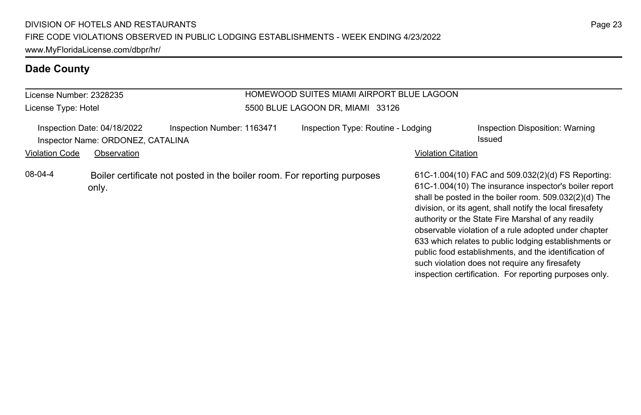| License Number: 2328235<br>License Type: Hotel |                                                                  |                                                                          | HOMEWOOD SUITES MIAMI AIRPORT BLUE LAGOON<br>5500 BLUE LAGOON DR, MIAMI 33126 |                                    |                           |                                                                                                                                                                                                                                                                                                                                                                                                                                                                                                                    |  |
|------------------------------------------------|------------------------------------------------------------------|--------------------------------------------------------------------------|-------------------------------------------------------------------------------|------------------------------------|---------------------------|--------------------------------------------------------------------------------------------------------------------------------------------------------------------------------------------------------------------------------------------------------------------------------------------------------------------------------------------------------------------------------------------------------------------------------------------------------------------------------------------------------------------|--|
|                                                | Inspection Date: 04/18/2022<br>Inspector Name: ORDONEZ, CATALINA | Inspection Number: 1163471                                               |                                                                               | Inspection Type: Routine - Lodging |                           | Inspection Disposition: Warning<br>Issued                                                                                                                                                                                                                                                                                                                                                                                                                                                                          |  |
| <b>Violation Code</b>                          | Observation                                                      |                                                                          |                                                                               |                                    | <b>Violation Citation</b> |                                                                                                                                                                                                                                                                                                                                                                                                                                                                                                                    |  |
| 08-04-4                                        | only.                                                            | Boiler certificate not posted in the boiler room. For reporting purposes |                                                                               |                                    |                           | 61C-1.004(10) FAC and 509.032(2)(d) FS Reporting:<br>61C-1.004(10) The insurance inspector's boiler report<br>shall be posted in the boiler room. 509.032(2)(d) The<br>division, or its agent, shall notify the local firesafety<br>authority or the State Fire Marshal of any readily<br>observable violation of a rule adopted under chapter<br>633 which relates to public lodging establishments or<br>public food establishments, and the identification of<br>such violation does not require any firesafety |  |

inspection certification. For reporting purposes only.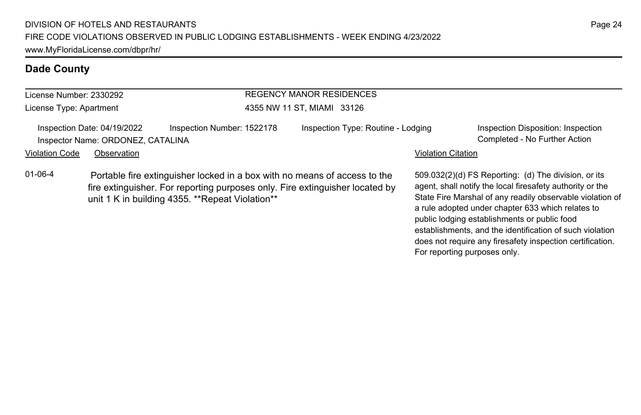|                                                    |                                                                  |                                                 |  | <b>REGENCY MANOR RESIDENCES</b>                                                                                                                           |                           |                                                                                                                                                                                                                                     |
|----------------------------------------------------|------------------------------------------------------------------|-------------------------------------------------|--|-----------------------------------------------------------------------------------------------------------------------------------------------------------|---------------------------|-------------------------------------------------------------------------------------------------------------------------------------------------------------------------------------------------------------------------------------|
| License Number: 2330292<br>License Type: Apartment |                                                                  | 4355 NW 11 ST, MIAMI 33126                      |  |                                                                                                                                                           |                           |                                                                                                                                                                                                                                     |
|                                                    |                                                                  |                                                 |  |                                                                                                                                                           |                           |                                                                                                                                                                                                                                     |
|                                                    | Inspection Date: 04/19/2022<br>Inspector Name: ORDONEZ, CATALINA | Inspection Number: 1522178                      |  | Inspection Type: Routine - Lodging                                                                                                                        |                           | Inspection Disposition: Inspection<br>Completed - No Further Action                                                                                                                                                                 |
| <b>Violation Code</b>                              | Observation                                                      |                                                 |  |                                                                                                                                                           | <b>Violation Citation</b> |                                                                                                                                                                                                                                     |
| 01-06-4                                            |                                                                  | unit 1 K in building 4355. **Repeat Violation** |  | Portable fire extinguisher locked in a box with no means of access to the<br>fire extinguisher. For reporting purposes only. Fire extinguisher located by |                           | 509.032(2)(d) FS Reporting: (d) The division, or its<br>agent, shall notify the local firesafety authority or the<br>State Fire Marshal of any readily observable violation of<br>a rule adopted under chapter 633 which relates to |

public lodging establishments or public food

For reporting purposes only.

establishments, and the identification of such violation does not require any firesafety inspection certification.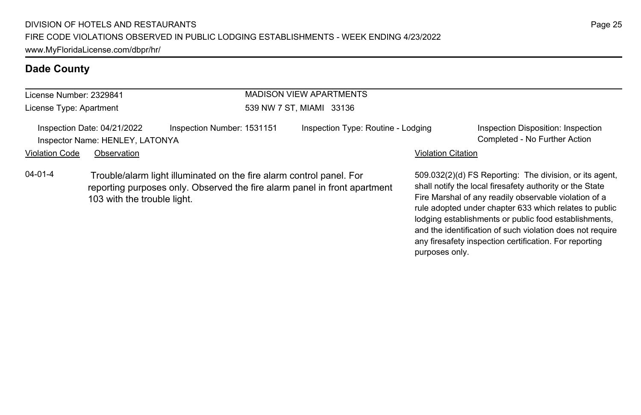| License Number: 2329841<br>License Type: Apartment |                             |                                                                      | <b>MADISON VIEW APARTMENTS</b><br>539 NW 7 ST, MIAMI 33136 |                                                                           |                           |                                                                                                                                                                           |
|----------------------------------------------------|-----------------------------|----------------------------------------------------------------------|------------------------------------------------------------|---------------------------------------------------------------------------|---------------------------|---------------------------------------------------------------------------------------------------------------------------------------------------------------------------|
|                                                    |                             |                                                                      |                                                            |                                                                           |                           |                                                                                                                                                                           |
| <b>Violation Code</b>                              | Observation                 |                                                                      |                                                            |                                                                           | <b>Violation Citation</b> |                                                                                                                                                                           |
| $04 - 01 - 4$                                      | 103 with the trouble light. | Trouble/alarm light illuminated on the fire alarm control panel. For |                                                            | reporting purposes only. Observed the fire alarm panel in front apartment |                           | 509.032(2)(d) FS Reporting: The division, or its age<br>shall notify the local firesafety authority or the State<br>Fire Marshal of any readily observable violation of a |

509.032(2)(d) FS Reporting: The division, or its agent, rule adopted under chapter 633 which relates to public lodging establishments or public food establishments, and the identification of such violation does not require any firesafety inspection certification. For reporting purposes only.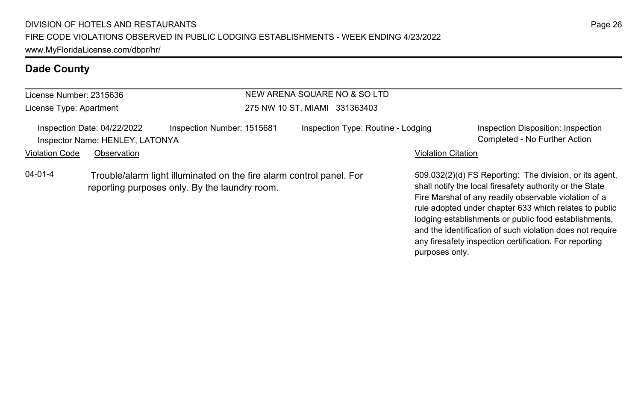| License Number: 2315636 |                                                                |                                                                                                                       | NEW ARENA SQUARE NO & SO LTD       |                           |                                                                                                                  |
|-------------------------|----------------------------------------------------------------|-----------------------------------------------------------------------------------------------------------------------|------------------------------------|---------------------------|------------------------------------------------------------------------------------------------------------------|
| License Type: Apartment |                                                                |                                                                                                                       | 275 NW 10 ST, MIAMI 331363403      |                           |                                                                                                                  |
|                         | Inspection Date: 04/22/2022<br>Inspector Name: HENLEY, LATONYA | Inspection Number: 1515681                                                                                            | Inspection Type: Routine - Lodging |                           | Inspection Disposition: Inspection<br>Completed - No Further Action                                              |
| Violation Code          | Observation                                                    |                                                                                                                       |                                    | <b>Violation Citation</b> |                                                                                                                  |
| 04-01-4                 |                                                                | Trouble/alarm light illuminated on the fire alarm control panel. For<br>reporting purposes only. By the laundry room. |                                    |                           | 509.032(2)(d) FS Reporting: The division, or its age<br>shall notify the local firesafety authority or the State |

ion, or its agent, shall notify the local firesafety authority or the State Fire Marshal of any readily observable violation of a rule adopted under chapter 633 which relates to public lodging establishments or public food establishments, and the identification of such violation does not require any firesafety inspection certification. For reporting purposes only.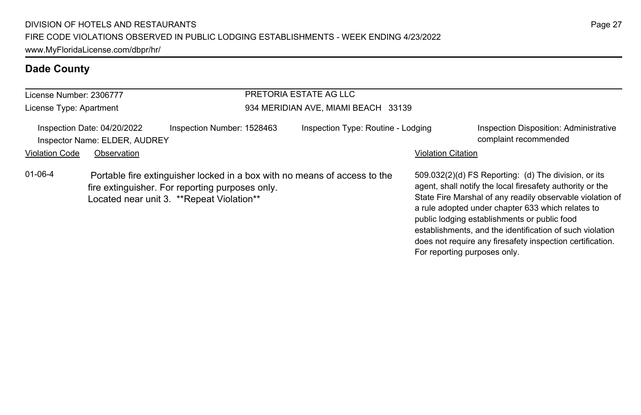| License Number: 2306777 |                                                              |                                                                                                                                                                           | PRETORIA ESTATE AG LLC              |                              |                                                                                                                                                                                                                                                                                                                                                                                                                |
|-------------------------|--------------------------------------------------------------|---------------------------------------------------------------------------------------------------------------------------------------------------------------------------|-------------------------------------|------------------------------|----------------------------------------------------------------------------------------------------------------------------------------------------------------------------------------------------------------------------------------------------------------------------------------------------------------------------------------------------------------------------------------------------------------|
| License Type: Apartment |                                                              |                                                                                                                                                                           | 934 MERIDIAN AVE, MIAMI BEACH 33139 |                              |                                                                                                                                                                                                                                                                                                                                                                                                                |
|                         | Inspection Date: 04/20/2022<br>Inspector Name: ELDER, AUDREY | Inspection Number: 1528463                                                                                                                                                | Inspection Type: Routine - Lodging  |                              | <b>Inspection Disposition: Administrative</b><br>complaint recommended                                                                                                                                                                                                                                                                                                                                         |
| <b>Violation Code</b>   | Observation                                                  |                                                                                                                                                                           |                                     | <b>Violation Citation</b>    |                                                                                                                                                                                                                                                                                                                                                                                                                |
| $01 - 06 - 4$           |                                                              | Portable fire extinguisher locked in a box with no means of access to the<br>fire extinguisher. For reporting purposes only.<br>Located near unit 3. **Repeat Violation** |                                     | For reporting purposes only. | $509.032(2)(d)$ FS Reporting: (d) The division, or its<br>agent, shall notify the local firesafety authority or the<br>State Fire Marshal of any readily observable violation of<br>a rule adopted under chapter 633 which relates to<br>public lodging establishments or public food<br>establishments, and the identification of such violation<br>does not require any firesafety inspection certification. |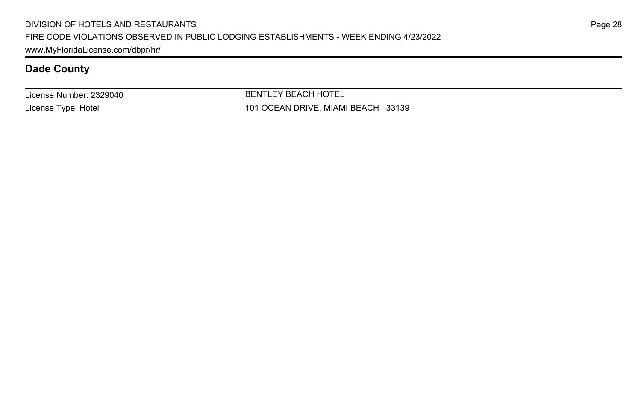License Number: 2329040 License Type: Hotel

BENTLEY BEACH HOTEL 101 OCEAN DRIVE, MIAMI BEACH 33139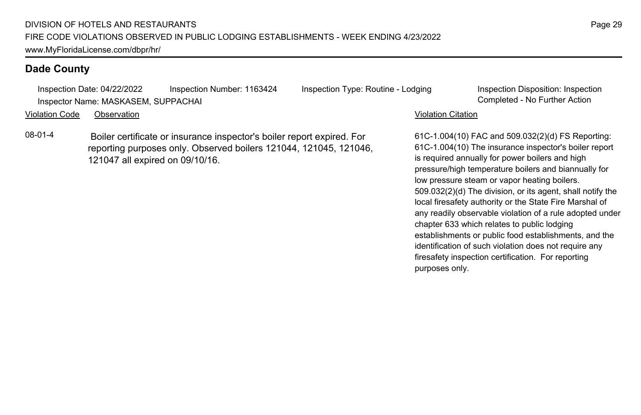Inspection Date: 04/22/2022 Inspection Number: 1163424 Inspection Type: Routine - Lodging Inspection Disposition: Inspection Inspector Name: MASKASEM, SUPPACHAI Completed - No Further Action

Violation Code Observation Violation Citation

08-01-4 Boiler certificate or insurance inspector's boiler report expired. For reporting purposes only. Observed boilers 121044, 121045, 121046, 121047 all expired on 09/10/16.

61C-1.004(10) FAC and 509.032(2)(d) FS Reporting: 61C-1.004(10) The insurance inspector's boiler report is required annually for power boilers and high pressure/high temperature boilers and biannually for low pressure steam or vapor heating boilers. 509.032(2)(d) The division, or its agent, shall notify the local firesafety authority or the State Fire Marshal of any readily observable violation of a rule adopted under chapter 633 which relates to public lodging establishments or public food establishments, and the identification of such violation does not require any firesafety inspection certification. For reporting purposes only.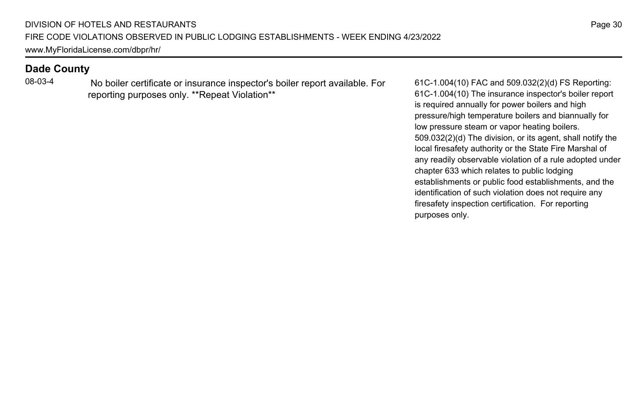08-03-4 No boiler certificate or insurance inspector's boiler report available. For reporting purposes only. \*\*Repeat Violation\*\*

61C-1.004(10) FAC and 509.032(2)(d) FS Reporting: 61C-1.004(10) The insurance inspector's boiler report is required annually for power boilers and high pressure/high temperature boilers and biannually for low pressure steam or vapor heating boilers. 509.032(2)(d) The division, or its agent, shall notify the local firesafety authority or the State Fire Marshal of any readily observable violation of a rule adopted under chapter 633 which relates to public lodging establishments or public food establishments, and the identification of such violation does not require any firesafety inspection certification. For reporting purposes only.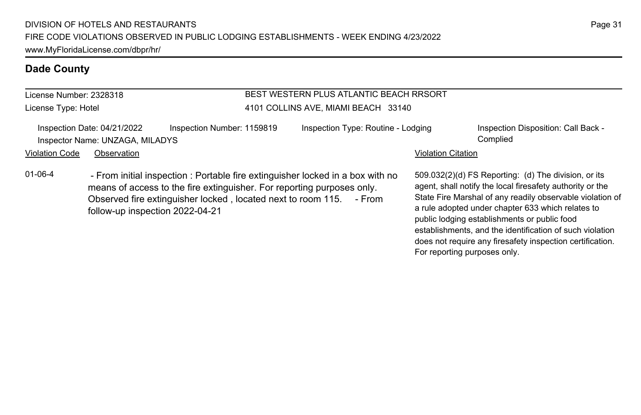License Number: 2328318 License Type: Hotel

### BEST WESTERN PLUS ATLANTIC BEACH RRSORT 4101 COLLINS AVE, MIAMI BEACH 33140

| Inspection Number: 1159819<br>Inspection Date: 04/21/2022 |                                 | Inspection Type: Routine - Lodging                                                                                                                                                                                              |  | Inspection Disposition: Call Back - |                                                                                                                                                                                                                                                                                     |
|-----------------------------------------------------------|---------------------------------|---------------------------------------------------------------------------------------------------------------------------------------------------------------------------------------------------------------------------------|--|-------------------------------------|-------------------------------------------------------------------------------------------------------------------------------------------------------------------------------------------------------------------------------------------------------------------------------------|
|                                                           | Inspector Name: UNZAGA, MILADYS |                                                                                                                                                                                                                                 |  |                                     | Complied                                                                                                                                                                                                                                                                            |
| <b>Violation Code</b>                                     | Observation                     |                                                                                                                                                                                                                                 |  | <b>Violation Citation</b>           |                                                                                                                                                                                                                                                                                     |
| $01 - 06 - 4$                                             | follow-up inspection 2022-04-21 | - From initial inspection : Portable fire extinguisher locked in a box with no<br>means of access to the fire extinguisher. For reporting purposes only.<br>Observed fire extinguisher locked, located next to room 115. - From |  |                                     | 509.032(2)(d) FS Reporting: (d) The division, or its<br>agent, shall notify the local firesafety authority or the<br>State Fire Marshal of any readily observable violation of<br>a rule adopted under chapter 633 which relates to<br>public lodging establishments or public food |

establishments, and the identification of such violation does not require any firesafety inspection certification.

For reporting purposes only.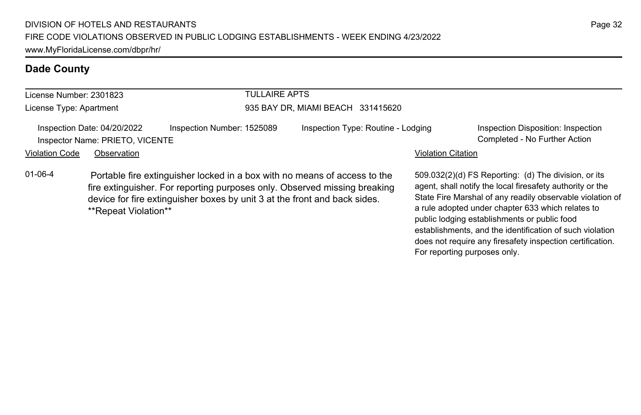| License Number: 2301823 |                                                                | <b>TULLAIRE APTS</b>                                                      |                                    |                           |                                                                     |
|-------------------------|----------------------------------------------------------------|---------------------------------------------------------------------------|------------------------------------|---------------------------|---------------------------------------------------------------------|
| License Type: Apartment |                                                                |                                                                           | 935 BAY DR, MIAMI BEACH 331415620  |                           |                                                                     |
|                         | Inspection Date: 04/20/2022<br>Inspector Name: PRIETO, VICENTE | Inspection Number: 1525089                                                | Inspection Type: Routine - Lodging |                           | Inspection Disposition: Inspection<br>Completed - No Further Action |
| Violation Code          | Observation                                                    |                                                                           |                                    | <b>Violation Citation</b> |                                                                     |
| 01-06-4                 |                                                                | Portable fire extinguisher locked in a box with no means of access to the |                                    |                           | 509.032(2)(d) FS Reporting: (d) The division, or its                |

01-06-4 Portable fire extinguisher locked in a box with no means of access to the fire extinguisher. For reporting purposes only. Observed missing breaking device for fire extinguisher boxes by unit 3 at the front and back sides. \*\*Repeat Violation\*\*

509.032(2)(d) FS Reporting: (d) The division, or its agent, shall notify the local firesafety authority or the State Fire Marshal of any readily observable violation of a rule adopted under chapter 633 which relates to

public lodging establishments or public food establishments, and the identification of such violation does not require any firesafety inspection certification. For reporting purposes only.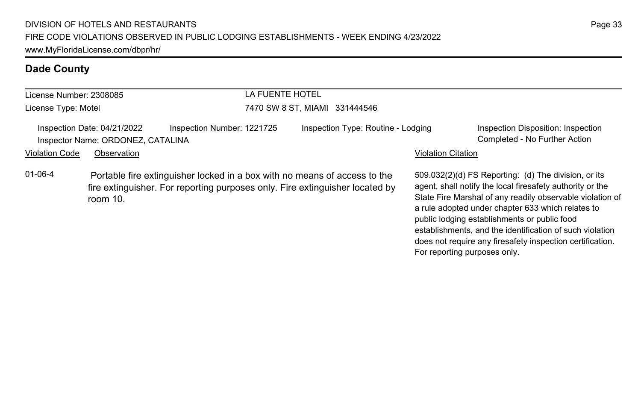| License Number: 2308085                                          |                                                                                                                                                                          |                            | LA FUENTE HOTEL                    |                           |                                                                                                                                                                                                                                                                                     |  |
|------------------------------------------------------------------|--------------------------------------------------------------------------------------------------------------------------------------------------------------------------|----------------------------|------------------------------------|---------------------------|-------------------------------------------------------------------------------------------------------------------------------------------------------------------------------------------------------------------------------------------------------------------------------------|--|
| License Type: Motel                                              |                                                                                                                                                                          |                            | 7470 SW 8 ST, MIAMI 331444546      |                           |                                                                                                                                                                                                                                                                                     |  |
| Inspection Date: 04/21/2022<br>Inspector Name: ORDONEZ, CATALINA |                                                                                                                                                                          | Inspection Number: 1221725 | Inspection Type: Routine - Lodging |                           | Inspection Disposition: Inspection<br>Completed - No Further Action                                                                                                                                                                                                                 |  |
| <b>Violation Code</b>                                            | Observation                                                                                                                                                              |                            |                                    | <b>Violation Citation</b> |                                                                                                                                                                                                                                                                                     |  |
| $01 - 06 - 4$                                                    | Portable fire extinguisher locked in a box with no means of access to the<br>fire extinguisher. For reporting purposes only. Fire extinguisher located by<br>room $10$ . |                            |                                    |                           | 509.032(2)(d) FS Reporting: (d) The division, or its<br>agent, shall notify the local firesafety authority or the<br>State Fire Marshal of any readily observable violation of<br>a rule adopted under chapter 633 which relates to<br>public lodging establishments or public food |  |

establishments, and the identification of such violation does not require any firesafety inspection certification.

For reporting purposes only.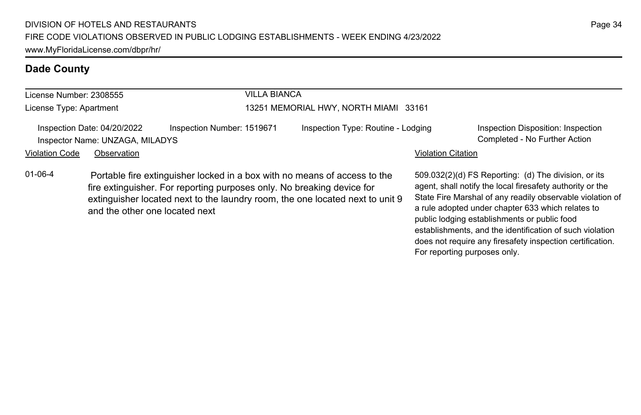| License Number: 2308555 |                                                                                                                                                                                                                                                                        |                            | VILLA BIANCA                          |                           |                                                                                                                                                                                                                                                                                     |  |  |
|-------------------------|------------------------------------------------------------------------------------------------------------------------------------------------------------------------------------------------------------------------------------------------------------------------|----------------------------|---------------------------------------|---------------------------|-------------------------------------------------------------------------------------------------------------------------------------------------------------------------------------------------------------------------------------------------------------------------------------|--|--|
| License Type: Apartment |                                                                                                                                                                                                                                                                        |                            | 13251 MEMORIAL HWY, NORTH MIAMI 33161 |                           |                                                                                                                                                                                                                                                                                     |  |  |
|                         | Inspection Date: 04/20/2022<br>Inspector Name: UNZAGA, MILADYS                                                                                                                                                                                                         | Inspection Number: 1519671 | Inspection Type: Routine - Lodging    |                           | Inspection Disposition: Inspection<br>Completed - No Further Action                                                                                                                                                                                                                 |  |  |
| <b>Violation Code</b>   | Observation                                                                                                                                                                                                                                                            |                            |                                       | <b>Violation Citation</b> |                                                                                                                                                                                                                                                                                     |  |  |
| $01 - 06 - 4$           | Portable fire extinguisher locked in a box with no means of access to the<br>fire extinguisher. For reporting purposes only. No breaking device for<br>extinguisher located next to the laundry room, the one located next to unit 9<br>and the other one located next |                            |                                       |                           | 509.032(2)(d) FS Reporting: (d) The division, or its<br>agent, shall notify the local firesafety authority or the<br>State Fire Marshal of any readily observable violation of<br>a rule adopted under chapter 633 which relates to<br>public lodging establishments or public food |  |  |

establishments, and the identification of such violation does not require any firesafety inspection certification.

For reporting purposes only.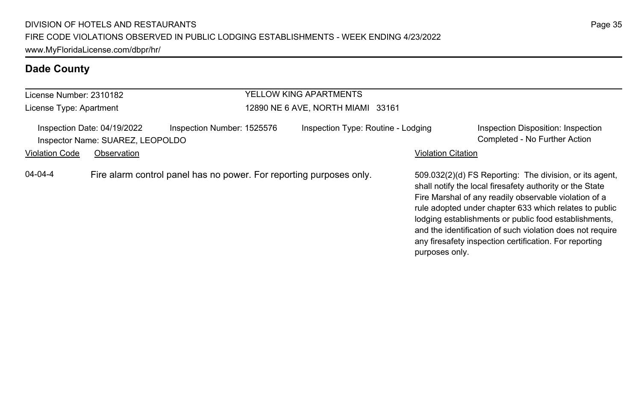#### License Number: 2310182 License Type: Apartment YELLOW KING APARTMENTS 12890 NE 6 AVE, NORTH MIAMI 33161 Inspection Date: 04/19/2022 Inspection Number: 1525576 Inspection Type: Routine - Lodging Inspection Disposition: Inspection Inspector Name: SUAREZ, LEOPOLDO Completed - No Further Action Violation Code Observation **Violation Code Observation** Violation Citation Citation Citation Citation Citation Citation Citation Citation Citation Citation Citation Citation Citation Citation Citation Citation Citation Cit 509.032(2)(d) FS Reporting: The division, or its agent, shall notify the local firesafety authority or the State Fire Marshal of any readily observable violation of a rule adopted under chapter 633 which relates to public lodging establishments or public food establishments, and the identification of such violation does not require 04-04-4 Fire alarm control panel has no power. For reporting purposes only.

any firesafety inspection certification. For reporting

purposes only.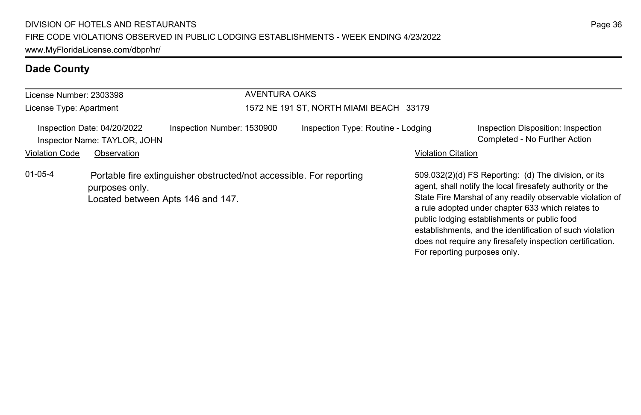| License Number: 2303398                                     |                                                                                                                            | AVENTURA OAKS              |                                         |                                    |                                                                                                                                                                                                                                                                                                                                                                                                                                              |                                                                     |  |
|-------------------------------------------------------------|----------------------------------------------------------------------------------------------------------------------------|----------------------------|-----------------------------------------|------------------------------------|----------------------------------------------------------------------------------------------------------------------------------------------------------------------------------------------------------------------------------------------------------------------------------------------------------------------------------------------------------------------------------------------------------------------------------------------|---------------------------------------------------------------------|--|
| License Type: Apartment                                     |                                                                                                                            |                            | 1572 NE 191 ST. NORTH MIAMI BEACH 33179 |                                    |                                                                                                                                                                                                                                                                                                                                                                                                                                              |                                                                     |  |
| Inspection Date: 04/20/2022<br>Inspector Name: TAYLOR, JOHN |                                                                                                                            | Inspection Number: 1530900 |                                         | Inspection Type: Routine - Lodging |                                                                                                                                                                                                                                                                                                                                                                                                                                              | Inspection Disposition: Inspection<br>Completed - No Further Action |  |
| <b>Violation Code</b>                                       | Observation                                                                                                                |                            |                                         |                                    | <b>Violation Citation</b>                                                                                                                                                                                                                                                                                                                                                                                                                    |                                                                     |  |
| $01 - 05 - 4$                                               | Portable fire extinguisher obstructed/not accessible. For reporting<br>purposes only.<br>Located between Apts 146 and 147. |                            |                                         |                                    | 509.032(2)(d) FS Reporting: (d) The division, or its<br>agent, shall notify the local firesafety authority or the<br>State Fire Marshal of any readily observable violation of<br>a rule adopted under chapter 633 which relates to<br>public lodging establishments or public food<br>establishments, and the identification of such violation<br>does not require any firesafety inspection certification.<br>For reporting purposes only. |                                                                     |  |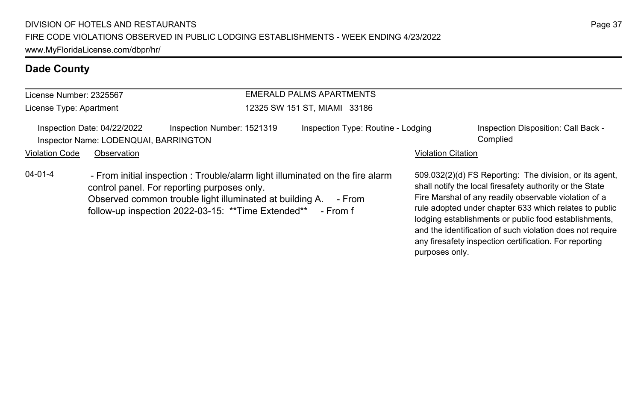# **Dade County**

| License Number: 2325567 |                                                                      |                                                                                                                                                                                                                                                 | EMERALD PALMS APARTMENTS           |                           |                                                                                                                                                                                                                                                                                                 |
|-------------------------|----------------------------------------------------------------------|-------------------------------------------------------------------------------------------------------------------------------------------------------------------------------------------------------------------------------------------------|------------------------------------|---------------------------|-------------------------------------------------------------------------------------------------------------------------------------------------------------------------------------------------------------------------------------------------------------------------------------------------|
| License Type: Apartment |                                                                      |                                                                                                                                                                                                                                                 | 12325 SW 151 ST, MIAMI 33186       |                           |                                                                                                                                                                                                                                                                                                 |
|                         | Inspection Date: 04/22/2022<br>Inspector Name: LODENQUAI, BARRINGTON | Inspection Number: 1521319                                                                                                                                                                                                                      | Inspection Type: Routine - Lodging |                           | Inspection Disposition: Call Back -<br>Complied                                                                                                                                                                                                                                                 |
| <b>Violation Code</b>   | Observation                                                          |                                                                                                                                                                                                                                                 |                                    | <b>Violation Citation</b> |                                                                                                                                                                                                                                                                                                 |
| $04 - 01 - 4$           |                                                                      | - From initial inspection : Trouble/alarm light illuminated on the fire alarm<br>control panel. For reporting purposes only.<br>Observed common trouble light illuminated at building A.<br>follow-up inspection 2022-03-15: ** Time Extended** | - From<br>- From f                 |                           | 509.032(2)(d) FS Reporting: The division, or its agent,<br>shall notify the local firesafety authority or the State<br>Fire Marshal of any readily observable violation of a<br>rule adopted under chapter 633 which relates to public<br>lodging establishments or public food establishments, |

and the identification of such violation does not require any firesafety inspection certification. For reporting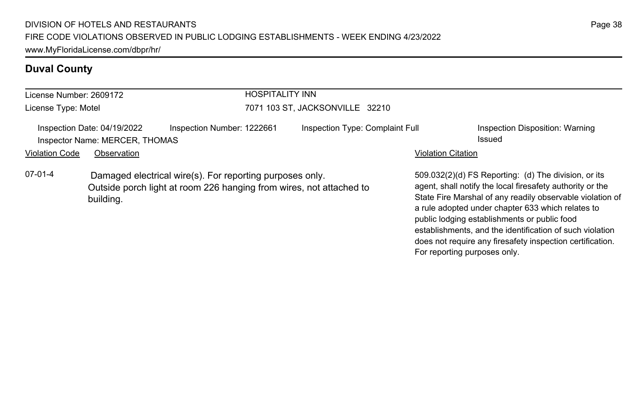| License Number: 2609172 |                                                               | <b>HOSPITALITY INN</b>                                                                                                          |                                 |                           |                                                                                                                                                                                                                                                                                     |  |  |
|-------------------------|---------------------------------------------------------------|---------------------------------------------------------------------------------------------------------------------------------|---------------------------------|---------------------------|-------------------------------------------------------------------------------------------------------------------------------------------------------------------------------------------------------------------------------------------------------------------------------------|--|--|
| License Type: Motel     |                                                               |                                                                                                                                 | 7071 103 ST, JACKSONVILLE 32210 |                           |                                                                                                                                                                                                                                                                                     |  |  |
|                         | Inspection Date: 04/19/2022<br>Inspector Name: MERCER, THOMAS | Inspection Number: 1222661                                                                                                      | Inspection Type: Complaint Full |                           | Inspection Disposition: Warning<br>Issued                                                                                                                                                                                                                                           |  |  |
| <b>Violation Code</b>   | Observation                                                   |                                                                                                                                 |                                 | <b>Violation Citation</b> |                                                                                                                                                                                                                                                                                     |  |  |
| $07-01-4$               | building.                                                     | Damaged electrical wire(s). For reporting purposes only.<br>Outside porch light at room 226 hanging from wires, not attached to |                                 |                           | 509.032(2)(d) FS Reporting: (d) The division, or its<br>agent, shall notify the local firesafety authority or the<br>State Fire Marshal of any readily observable violation of<br>a rule adopted under chapter 633 which relates to<br>public lodging establishments or public food |  |  |

establishments, and the identification of such violation does not require any firesafety inspection certification.

For reporting purposes only.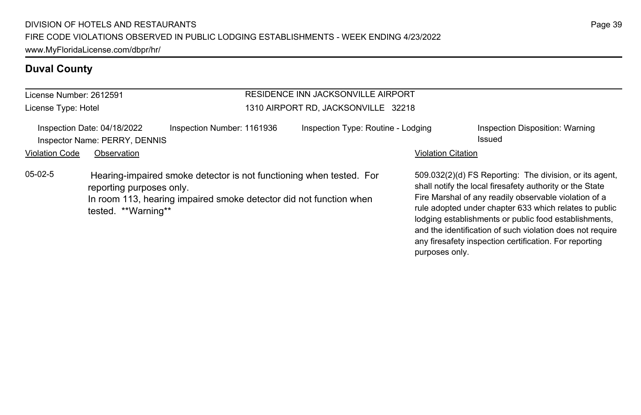| License Number: 2612591<br>License Type: Hotel |                                                              |                                                                                                                                           | RESIDENCE INN JACKSONVILLE AIRPORT<br>1310 AIRPORT RD, JACKSONVILLE 32218 |                           |                                                                                                                                                                                                                                                                                                                                                              |  |
|------------------------------------------------|--------------------------------------------------------------|-------------------------------------------------------------------------------------------------------------------------------------------|---------------------------------------------------------------------------|---------------------------|--------------------------------------------------------------------------------------------------------------------------------------------------------------------------------------------------------------------------------------------------------------------------------------------------------------------------------------------------------------|--|
|                                                | Inspection Date: 04/18/2022<br>Inspector Name: PERRY, DENNIS | Inspection Number: 1161936                                                                                                                | Inspection Type: Routine - Lodging                                        |                           | Inspection Disposition: Warning<br>Issued                                                                                                                                                                                                                                                                                                                    |  |
| <b>Violation Code</b>                          | Observation                                                  |                                                                                                                                           |                                                                           | <b>Violation Citation</b> |                                                                                                                                                                                                                                                                                                                                                              |  |
| $05-02-5$                                      | reporting purposes only.<br>tested. **Warning**              | Hearing-impaired smoke detector is not functioning when tested. For<br>In room 113, hearing impaired smoke detector did not function when |                                                                           |                           | 509.032(2)(d) FS Reporting: The division, or its agent,<br>shall notify the local firesafety authority or the State<br>Fire Marshal of any readily observable violation of a<br>rule adopted under chapter 633 which relates to public<br>lodging establishments or public food establishments,<br>and the identification of such violation does not require |  |

any firesafety inspection certification. For reporting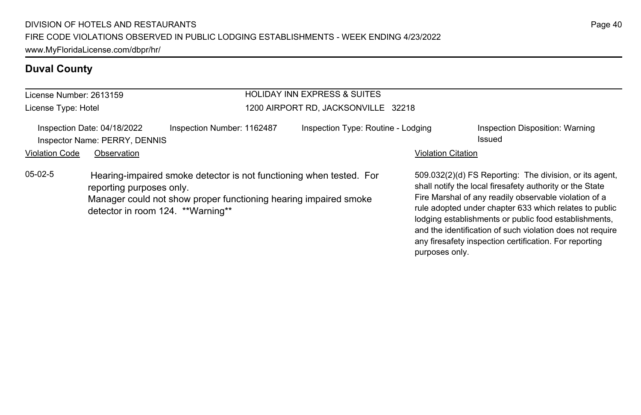| License Number: 2613159 |                                                              |                                                                                                                                                                              | <b>HOLIDAY INN EXPRESS &amp; SUITES</b> |                           |                                                                                                                                                                                                                                                                                                 |  |  |
|-------------------------|--------------------------------------------------------------|------------------------------------------------------------------------------------------------------------------------------------------------------------------------------|-----------------------------------------|---------------------------|-------------------------------------------------------------------------------------------------------------------------------------------------------------------------------------------------------------------------------------------------------------------------------------------------|--|--|
| License Type: Hotel     |                                                              | 1200 AIRPORT RD, JACKSONVILLE 32218                                                                                                                                          |                                         |                           |                                                                                                                                                                                                                                                                                                 |  |  |
|                         | Inspection Date: 04/18/2022<br>Inspector Name: PERRY, DENNIS | Inspection Number: 1162487                                                                                                                                                   | Inspection Type: Routine - Lodging      |                           | Inspection Disposition: Warning<br>Issued                                                                                                                                                                                                                                                       |  |  |
| <b>Violation Code</b>   | Observation                                                  |                                                                                                                                                                              |                                         | <b>Violation Citation</b> |                                                                                                                                                                                                                                                                                                 |  |  |
| $05-02-5$               | reporting purposes only.                                     | Hearing-impaired smoke detector is not functioning when tested. For<br>Manager could not show proper functioning hearing impaired smoke<br>detector in room 124. **Warning** |                                         |                           | 509.032(2)(d) FS Reporting: The division, or its agent,<br>shall notify the local firesafety authority or the State<br>Fire Marshal of any readily observable violation of a<br>rule adopted under chapter 633 which relates to public<br>lodging establishments or public food establishments, |  |  |

and the identification of such violation does not require any firesafety inspection certification. For reporting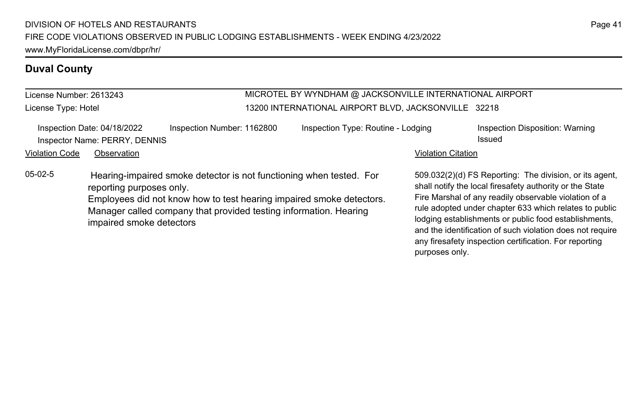License Number: 2613243 License Type: Hotel

# MICROTEL BY WYNDHAM @ JACKSONVILLE INTERNATIONAL AIRPORT 13200 INTERNATIONAL AIRPORT BLVD, JACKSONVILLE 32218

|                       | Inspection Date: 04/18/2022<br>Inspector Name: PERRY, DENNIS | Inspection Number: 1162800                                                                                                                                                                                       | Inspection Type: Routine - Lodging |                           | Inspection Disposition: Warning<br>Issued                                                                                                                                                                                                                                                                                                                                                                              |
|-----------------------|--------------------------------------------------------------|------------------------------------------------------------------------------------------------------------------------------------------------------------------------------------------------------------------|------------------------------------|---------------------------|------------------------------------------------------------------------------------------------------------------------------------------------------------------------------------------------------------------------------------------------------------------------------------------------------------------------------------------------------------------------------------------------------------------------|
| <b>Violation Code</b> | Observation                                                  |                                                                                                                                                                                                                  |                                    | <b>Violation Citation</b> |                                                                                                                                                                                                                                                                                                                                                                                                                        |
| 05-02-5               | reporting purposes only.<br>impaired smoke detectors         | Hearing-impaired smoke detector is not functioning when tested. For<br>Employees did not know how to test hearing impaired smoke detectors.<br>Manager called company that provided testing information. Hearing |                                    |                           | 509.032(2)(d) FS Reporting: The division, or its agent,<br>shall notify the local firesafety authority or the State<br>Fire Marshal of any readily observable violation of a<br>rule adopted under chapter 633 which relates to public<br>lodging establishments or public food establishments,<br>and the identification of such violation does not require<br>any firesafety inspection certification. For reporting |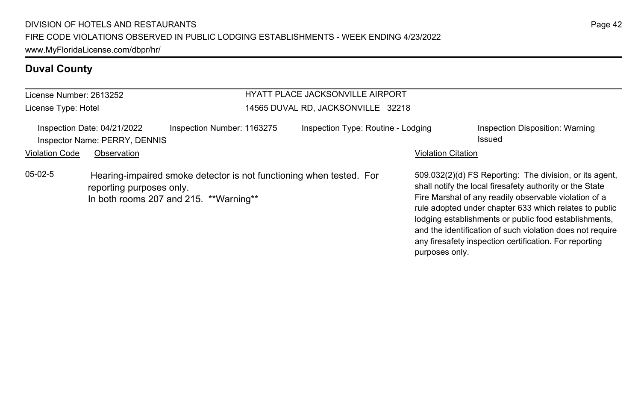| <b>HYATT PLACE JACKSONVILLE AIRPORT</b><br>License Number: 2613252 |                                                              |                                                                                                                |                                    |                           |                                                                                                                                                                                                                                                                                                                                                              |  |
|--------------------------------------------------------------------|--------------------------------------------------------------|----------------------------------------------------------------------------------------------------------------|------------------------------------|---------------------------|--------------------------------------------------------------------------------------------------------------------------------------------------------------------------------------------------------------------------------------------------------------------------------------------------------------------------------------------------------------|--|
| License Type: Hotel                                                |                                                              |                                                                                                                | 14565 DUVAL RD, JACKSONVILLE 32218 |                           |                                                                                                                                                                                                                                                                                                                                                              |  |
|                                                                    | Inspection Date: 04/21/2022<br>Inspector Name: PERRY, DENNIS | Inspection Number: 1163275                                                                                     | Inspection Type: Routine - Lodging |                           | Inspection Disposition: Warning<br>Issued                                                                                                                                                                                                                                                                                                                    |  |
| <b>Violation Code</b>                                              | Observation                                                  |                                                                                                                |                                    | <b>Violation Citation</b> |                                                                                                                                                                                                                                                                                                                                                              |  |
| $05-02-5$                                                          | reporting purposes only.                                     | Hearing-impaired smoke detector is not functioning when tested. For<br>In both rooms 207 and 215. ** Warning** |                                    |                           | 509.032(2)(d) FS Reporting: The division, or its agent,<br>shall notify the local firesafety authority or the State<br>Fire Marshal of any readily observable violation of a<br>rule adopted under chapter 633 which relates to public<br>lodging establishments or public food establishments,<br>and the identification of such violation does not require |  |

Page 42

any firesafety inspection certification. For reporting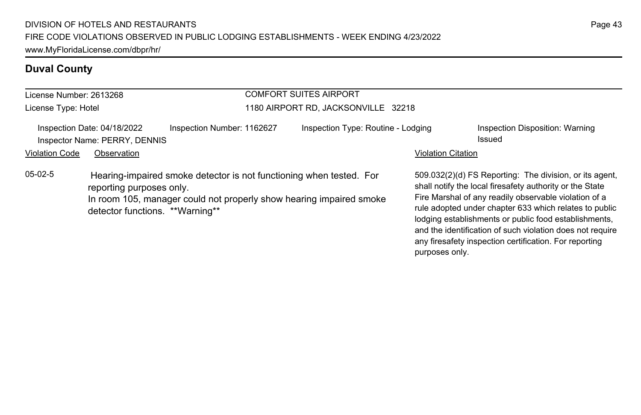| License Number: 2613268 |                                                              |                                                                                                                                            | <b>COMFORT SUITES AIRPORT</b>      |                           |                                                                                                                                                                                                                                                                                                 |
|-------------------------|--------------------------------------------------------------|--------------------------------------------------------------------------------------------------------------------------------------------|------------------------------------|---------------------------|-------------------------------------------------------------------------------------------------------------------------------------------------------------------------------------------------------------------------------------------------------------------------------------------------|
| License Type: Hotel     |                                                              | 1180 AIRPORT RD, JACKSONVILLE 32218                                                                                                        |                                    |                           |                                                                                                                                                                                                                                                                                                 |
|                         | Inspection Date: 04/18/2022<br>Inspector Name: PERRY, DENNIS | Inspection Number: 1162627                                                                                                                 | Inspection Type: Routine - Lodging |                           | Inspection Disposition: Warning<br>Issued                                                                                                                                                                                                                                                       |
| <b>Violation Code</b>   | Observation                                                  |                                                                                                                                            |                                    | <b>Violation Citation</b> |                                                                                                                                                                                                                                                                                                 |
| $05-02-5$               | reporting purposes only.<br>detector functions. **Warning**  | Hearing-impaired smoke detector is not functioning when tested. For<br>In room 105, manager could not properly show hearing impaired smoke |                                    |                           | 509.032(2)(d) FS Reporting: The division, or its agent,<br>shall notify the local firesafety authority or the State<br>Fire Marshal of any readily observable violation of a<br>rule adopted under chapter 633 which relates to public<br>lodging establishments or public food establishments. |

and the identification of such violation does not require any firesafety inspection certification. For reporting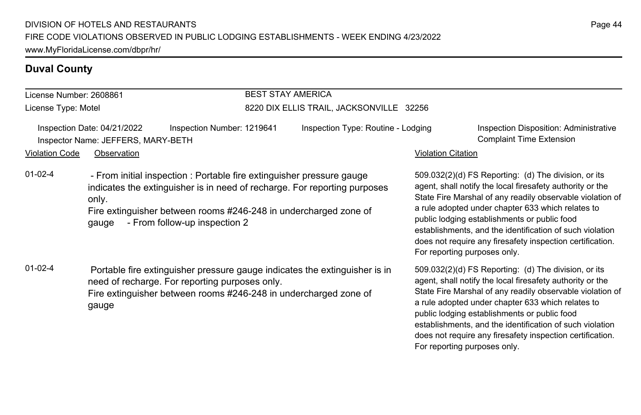gauge

#### License Number: 2608861 License Type: Motel BEST STAY AMERICA 8220 DIX ELLIS TRAIL, JACKSONVILLE 32256 Inspection Date: 04/21/2022 Inspection Number: 1219641 Inspection Type: Routine - Lodging Inspection Disposition: Administrative Inspector Name: JEFFERS, MARY-BETH Complaint Time Extension Violation Code Observation **Violation Code** Observation **Violation** Violation Citation Citation Citation Citation 509.032(2)(d) FS Reporting: (d) The division, or its agent, shall notify the local firesafety authority or the State Fire Marshal of any readily observable violation of a rule adopted under chapter 633 which relates to public lodging establishments or public food establishments, and the identification of such violation does not require any firesafety inspection certification. For reporting purposes only. 01-02-4 - From initial inspection : Portable fire extinguisher pressure gauge indicates the extinguisher is in need of recharge. For reporting purposes only. Fire extinguisher between rooms #246-248 in undercharged zone of gauge - From follow-up inspection 2 509.032(2)(d) FS Reporting: (d) The division, or its agent, shall notify the local firesafety authority or the State Fire Marshal of any readily observable violation of a rule adopted under chapter 633 which relates to 01-02-4 Portable fire extinguisher pressure gauge indicates the extinguisher is in need of recharge. For reporting purposes only. Fire extinguisher between rooms #246-248 in undercharged zone of

Page 44

public lodging establishments or public food

For reporting purposes only.

establishments, and the identification of such violation does not require any firesafety inspection certification.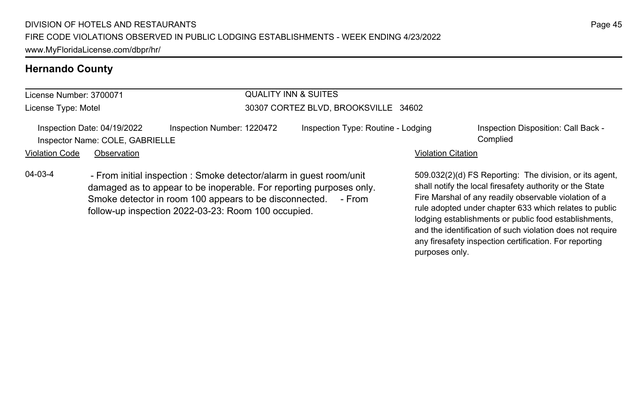# **Hernando County**

| License Number: 3700071 |                                                                |                                                                                                                                                                                                      | <b>QUALITY INN &amp; SUITES</b>      |                           |                                                                                                                                                                                                                                                           |  |
|-------------------------|----------------------------------------------------------------|------------------------------------------------------------------------------------------------------------------------------------------------------------------------------------------------------|--------------------------------------|---------------------------|-----------------------------------------------------------------------------------------------------------------------------------------------------------------------------------------------------------------------------------------------------------|--|
| License Type: Motel     |                                                                |                                                                                                                                                                                                      | 30307 CORTEZ BLVD, BROOKSVILLE 34602 |                           |                                                                                                                                                                                                                                                           |  |
|                         | Inspection Date: 04/19/2022<br>Inspector Name: COLE, GABRIELLE | Inspection Number: 1220472                                                                                                                                                                           | Inspection Type: Routine - Lodging   |                           | Inspection Disposition: Call Back -<br>Complied                                                                                                                                                                                                           |  |
| Violation Code          | Observation                                                    |                                                                                                                                                                                                      |                                      | <b>Violation Citation</b> |                                                                                                                                                                                                                                                           |  |
| 04-03-4                 |                                                                | - From initial inspection : Smoke detector/alarm in guest room/unit<br>damaged as to appear to be inoperable. For reporting purposes only.<br>Smoke detector in room 100 appears to be disconnected. | - From                               |                           | 509.032(2)(d) FS Reporting: The division, or its agen<br>shall notify the local firesafety authority or the State<br>Fire Marshal of any readily observable violation of a<br>فاعارتها والمستقطعة والمقطانين فالأثاث والمستحام وماسونين المستقطع والمساري |  |

follow-up inspection 2022-03-23: Room 100 occupied.

509.032(2)(d) FS Reporting: The division, or its agent, rule adopted under chapter 633 which relates to public lodging establishments or public food establishments, and the identification of such violation does not require any firesafety inspection certification. For reporting purposes only.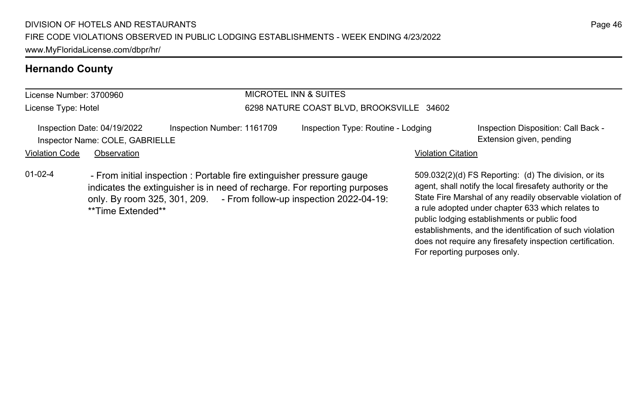# **Hernando County**

| License Number: 3700960 |                                                                |                                                                       | <b>MICROTEL INN &amp; SUITES</b>                                                                                                                  |                           |                                                                                                                                                                             |
|-------------------------|----------------------------------------------------------------|-----------------------------------------------------------------------|---------------------------------------------------------------------------------------------------------------------------------------------------|---------------------------|-----------------------------------------------------------------------------------------------------------------------------------------------------------------------------|
| License Type: Hotel     |                                                                | 6298 NATURE COAST BLVD, BROOKSVILLE 34602                             |                                                                                                                                                   |                           |                                                                                                                                                                             |
|                         | Inspection Date: 04/19/2022<br>Inspector Name: COLE, GABRIELLE | Inspection Number: 1161709                                            | Inspection Type: Routine - Lodging                                                                                                                |                           | Inspection Disposition: Call Back -<br>Extension given, pending                                                                                                             |
| <b>Violation Code</b>   | Observation                                                    |                                                                       |                                                                                                                                                   | <b>Violation Citation</b> |                                                                                                                                                                             |
| $01 - 02 - 4$           |                                                                | - From initial inspection : Portable fire extinguisher pressure gauge | indicates the extinguisher is in need of recharge. For reporting purposes<br>only. By room 325, 301, 209. - From follow-up inspection 2022-04-19: |                           | 509.032(2)(d) FS Reporting: (d) The division, or its<br>agent, shall notify the local firesafety authority or the<br>State Fire Marshal of any readily observable violation |

\*\*Time Extended\*\*

State Fire Marshal of any readily observable violation of a rule adopted under chapter 633 which relates to public lodging establishments or public food establishments, and the identification of such violation does not require any firesafety inspection certification. For reporting purposes only.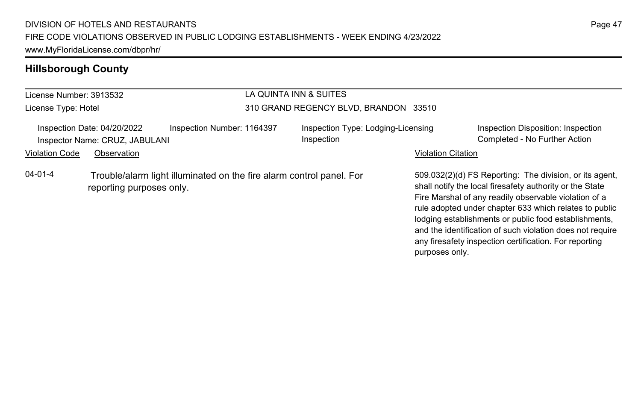# **Hillsborough County**

#### License Number: 3913532

License Type: Hotel

### LA QUINTA INN & SUITES 310 GRAND REGENCY BLVD, BRANDON 33510

Inspection Date: 04/20/2022 Inspection Number: 1164397 Inspection Type: Lodging-Licensing Inspector Name: CRUZ, JABULANI Completed - No Further Action Completed - No Further Action

Inspection

Inspection Disposition: Inspection

#### Violation Code Observation **Violation Code Observation** Violation Citation Citation Citation Citation Citation Citation Citation Citation Citation Citation Citation Citation Citation Citation Citation Citation Citation Cit

04-01-4 Trouble/alarm light illuminated on the fire alarm control panel. For reporting purposes only.

509.032(2)(d) FS Reporting: The division, or its agent, shall notify the local firesafety authority or the State Fire Marshal of any readily observable violation of a rule adopted under chapter 633 which relates to public lodging establishments or public food establishments, and the identification of such violation does not require any firesafety inspection certification. For reporting purposes only.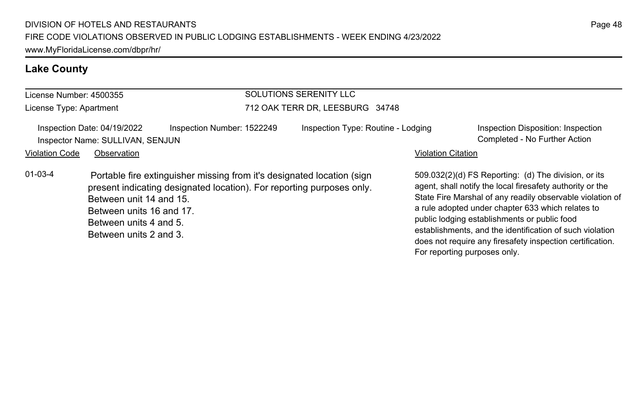# **Lake County**

| License Number: 4500355 |                                                                                                         |                                                                                                                                                 | SOLUTIONS SERENITY LLC             |                           |                                                                                                                                                                                                                                                                                                                                                                                                              |  |  |  |
|-------------------------|---------------------------------------------------------------------------------------------------------|-------------------------------------------------------------------------------------------------------------------------------------------------|------------------------------------|---------------------------|--------------------------------------------------------------------------------------------------------------------------------------------------------------------------------------------------------------------------------------------------------------------------------------------------------------------------------------------------------------------------------------------------------------|--|--|--|
| License Type: Apartment |                                                                                                         |                                                                                                                                                 | 712 OAK TERR DR, LEESBURG 34748    |                           |                                                                                                                                                                                                                                                                                                                                                                                                              |  |  |  |
|                         | Inspection Date: 04/19/2022<br>Inspector Name: SULLIVAN, SENJUN                                         | Inspection Number: 1522249                                                                                                                      | Inspection Type: Routine - Lodging |                           | Inspection Disposition: Inspection<br>Completed - No Further Action                                                                                                                                                                                                                                                                                                                                          |  |  |  |
| <b>Violation Code</b>   | Observation                                                                                             |                                                                                                                                                 |                                    | <b>Violation Citation</b> |                                                                                                                                                                                                                                                                                                                                                                                                              |  |  |  |
| $01 - 03 - 4$           | Between unit 14 and 15.<br>Between units 16 and 17.<br>Between units 4 and 5.<br>Between units 2 and 3. | Portable fire extinguisher missing from it's designated location (sign<br>present indicating designated location). For reporting purposes only. |                                    |                           | 509.032(2)(d) FS Reporting: (d) The division, or its<br>agent, shall notify the local firesafety authority or the<br>State Fire Marshal of any readily observable violation of<br>a rule adopted under chapter 633 which relates to<br>public lodging establishments or public food<br>establishments, and the identification of such violation<br>does not require any firesafety inspection certification. |  |  |  |

For reporting purposes only.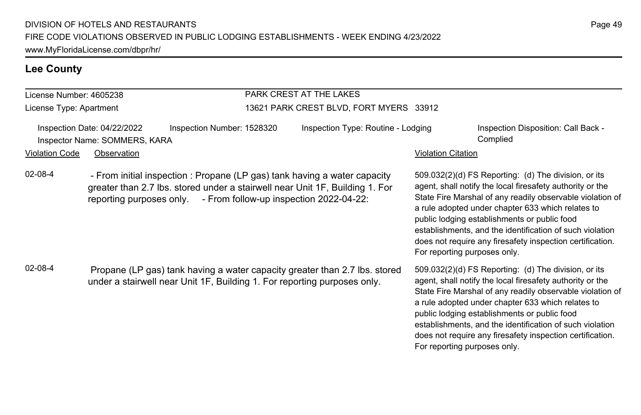#### **Lee County**

#### License Number: 4605238 License Type: Apartment PARK CREST AT THE LAKES 13621 PARK CREST BLVD, FORT MYERS 33912 Inspection Date: 04/22/2022 Inspection Number: 1528320 Inspection Type: Routine - Lodging Inspection Disposition: Call Back -Inspector Name: SOMMERS, KARA Complied Violation Code Observation Violation Citation 509.032(2)(d) FS Reporting: (d) The division, or its agent, shall notify the local firesafety authority or the State Fire Marshal of any readily observable violation of a rule adopted under chapter 633 which relates to public lodging establishments or public food establishments, and the identification of such violation does not require any firesafety inspection certification. For reporting purposes only. 02-08-4 - From initial inspection : Propane (LP gas) tank having a water capacity greater than 2.7 lbs. stored under a stairwell near Unit 1F, Building 1. For reporting purposes only. - From follow-up inspection 2022-04-22: 509.032(2)(d) FS Reporting: (d) The division, or its agent, shall notify the local firesafety authority or the State Fire Marshal of any readily observable violation of a rule adopted under chapter 633 which relates to public lodging establishments or public food establishments, and the identification of such violation does not require any firesafety inspection certification. For reporting purposes only. 02-08-4 Propane (LP gas) tank having a water capacity greater than 2.7 lbs. stored under a stairwell near Unit 1F, Building 1. For reporting purposes only.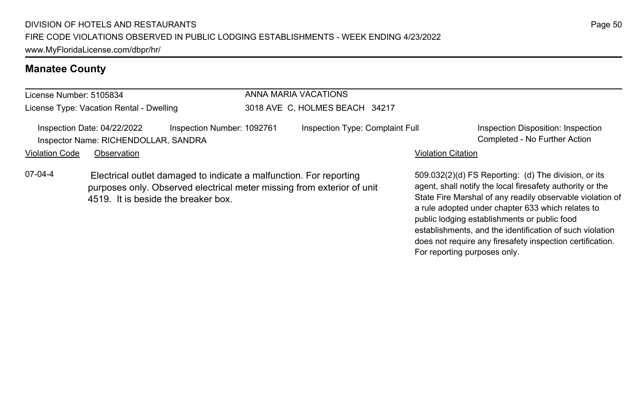### **Manatee County**

#### License Number: 5105834 License Type: Vacation Rental - Dwelling ANNA MARIA VACATIONS 3018 AVE C, HOLMES BEACH 34217 Inspection Date: 04/22/2022 Inspection Number: 1092761 Inspection Type: Complaint Full Inspection Disposition: Inspection Inspector Name: RICHENDOLLAR, SANDRA Completed - No Further Action Violation Code Observation **Violation Code** Observation **Violation** Violation Citation Citation Citation Citation 509.032(2)(d) FS Reporting: (d) The division, or its agent, shall notify the local firesafety authority or the 07-04-4 Electrical outlet damaged to indicate a malfunction. For reporting purposes only. Observed electrical meter missing from exterior of unit 4519. It is beside the breaker box.

State Fire Marshal of any readily observable violation of a rule adopted under chapter 633 which relates to public lodging establishments or public food establishments, and the identification of such violation does not require any firesafety inspection certification. For reporting purposes only.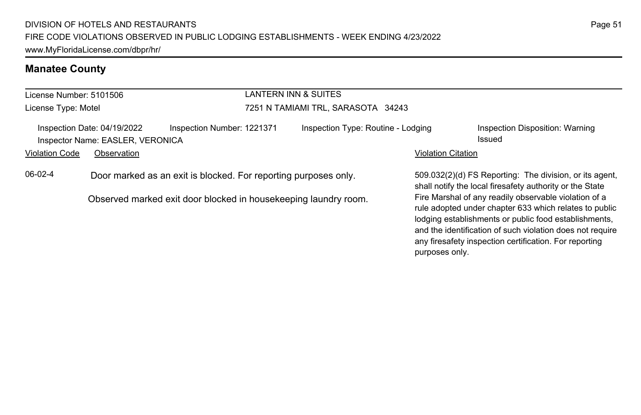### **Manatee County**

#### License Number: 5101506 License Type: Motel LANTERN INN & SUITES 7251 N TAMIAMI TRL, SARASOTA 34243 Inspection Date: 04/19/2022 Inspection Number: 1221371 Inspection Type: Routine - Lodging Inspection Disposition: Warning **Inspector Name: EASLER, VERONICA Instead issued Inspector Name: EASLER, VERONICA** Violation Code Observation **Violation Code Observation** Violation Citation Citation Citation Citation Citation Citation Citation Citation Citation Citation Citation Citation Citation Citation Citation Citation Citation Cit 509.032(2)(d) FS Reporting: The division, or its agent, shall notify the local firesafety authority or the State Fire Marshal of any readily observable violation of a 06-02-4 Door marked as an exit is blocked. For reporting purposes only. Observed marked exit door blocked in housekeeping laundry room.

rule adopted under chapter 633 which relates to public lodging establishments or public food establishments, and the identification of such violation does not require any firesafety inspection certification. For reporting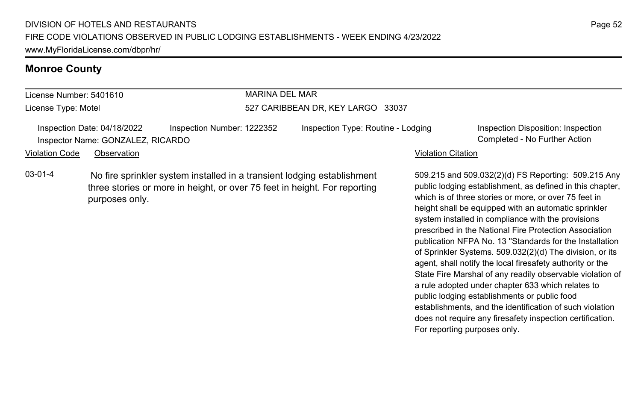### **Monroe County**

# License Number: 5401610

License Type: Motel

# MARINA DEL MAR

#### 527 CARIBBEAN DR, KEY LARGO 33037

Inspection Date: 04/18/2022 Inspection Number: 1222352 Inspection Type: Routine - Lodging Inspection Disposition: Inspection Inspector Name: GONZALEZ, RICARDO Completed - No Further Action

#### Violation Code Observation **Violation Code** Observation **Violation** Violation Citation Citation Citation Citation

03-01-4 No fire sprinkler system installed in a transient lodging establishment three stories or more in height, or over 75 feet in height. For reporting purposes only.

509.215 and 509.032(2)(d) FS Reporting: 509.215 Any public lodging establishment, as defined in this chapter, which is of three stories or more, or over 75 feet in height shall be equipped with an automatic sprinkler system installed in compliance with the provisions prescribed in the National Fire Protection Association publication NFPA No. 13 ''Standards for the Installation of Sprinkler Systems. 509.032(2)(d) The division, or its agent, shall notify the local firesafety authority or the State Fire Marshal of any readily observable violation of a rule adopted under chapter 633 which relates to public lodging establishments or public food establishments, and the identification of such violation does not require any firesafety inspection certification. For reporting purposes only.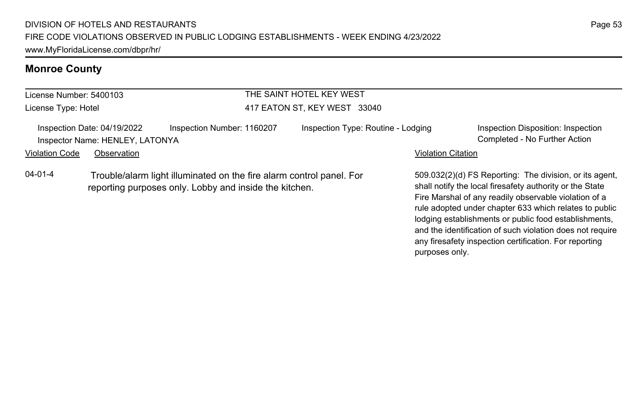# **Monroe County**

| License Number: 5400103 |                                                                |                                                                                                                                | THE SAINT HOTEL KEY WEST           |                           |                                                                                                                                                                                   |  |
|-------------------------|----------------------------------------------------------------|--------------------------------------------------------------------------------------------------------------------------------|------------------------------------|---------------------------|-----------------------------------------------------------------------------------------------------------------------------------------------------------------------------------|--|
| License Type: Hotel     |                                                                |                                                                                                                                | 417 EATON ST, KEY WEST 33040       |                           |                                                                                                                                                                                   |  |
|                         | Inspection Date: 04/19/2022<br>Inspector Name: HENLEY, LATONYA | Inspection Number: 1160207                                                                                                     | Inspection Type: Routine - Lodging |                           | Inspection Disposition: Inspection<br>Completed - No Further Action                                                                                                               |  |
| <b>Violation Code</b>   | Observation                                                    |                                                                                                                                |                                    | <b>Violation Citation</b> |                                                                                                                                                                                   |  |
| $04 - 01 - 4$           |                                                                | Trouble/alarm light illuminated on the fire alarm control panel. For<br>reporting purposes only. Lobby and inside the kitchen. |                                    |                           | 509.032(2)(d) FS Reporting: The division, or its age<br>shall notify the local firesafety authority or the State<br>$\Gamma$ ire Marabal of any readily aboomrable violation of a |  |

509.032(2)(d) FS Reporting: The division, or its agent, Fire Marshal of any readily observable violation of a rule adopted under chapter 633 which relates to public lodging establishments or public food establishments, and the identification of such violation does not require any firesafety inspection certification. For reporting purposes only.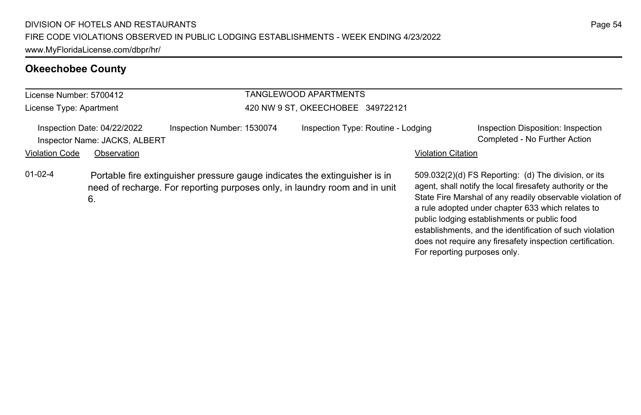### **Okeechobee County**

#### License Number: 5700412 License Type: Apartment TANGLEWOOD APARTMENTS 420 NW 9 ST, OKEECHOBEE 349722121 Inspection Date: 04/22/2022 Inspection Number: 1530074 Inspection Type: Routine - Lodging Inspection Disposition: Inspection Inspector Name: JACKS, ALBERT Completed - No Further Action Violation Code Observation **Violation Code Observation** Violation Citation Citation Citation Citation Citation Citation Citation Citation Citation Citation Citation Citation Citation Citation Citation Citation Citation Cit 509.032(2)(d) FS Reporting: (d) The division, or its agent, shall notify the local firesafety authority or the State Fire Marshal of any readily observable violation of a rule adopted under chapter 633 which relates to 01-02-4 Portable fire extinguisher pressure gauge indicates the extinguisher is in need of recharge. For reporting purposes only, in laundry room and in unit 6.

#### Page 54

public lodging establishments or public food

For reporting purposes only.

establishments, and the identification of such violation does not require any firesafety inspection certification.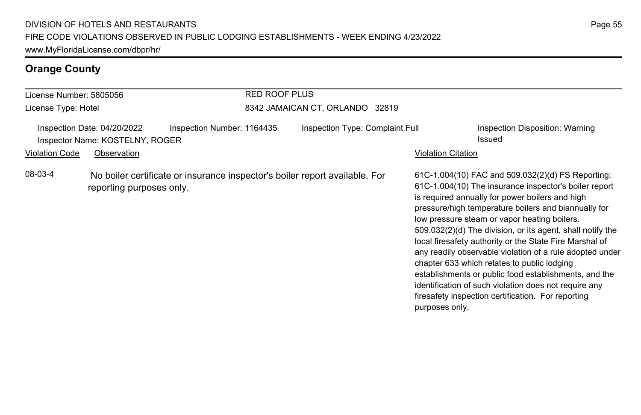| License Number: 5805056 |                                                                               | <b>RED ROOF PLUS</b>                                                        |                                 |                    |                                                                                                                                                                                                                                                                                                                                                                                                                                                                                                                                                                                                                                                                                   |
|-------------------------|-------------------------------------------------------------------------------|-----------------------------------------------------------------------------|---------------------------------|--------------------|-----------------------------------------------------------------------------------------------------------------------------------------------------------------------------------------------------------------------------------------------------------------------------------------------------------------------------------------------------------------------------------------------------------------------------------------------------------------------------------------------------------------------------------------------------------------------------------------------------------------------------------------------------------------------------------|
| License Type: Hotel     |                                                                               |                                                                             | 8342 JAMAICAN CT, ORLANDO 32819 |                    |                                                                                                                                                                                                                                                                                                                                                                                                                                                                                                                                                                                                                                                                                   |
| <b>Violation Code</b>   | Inspection Date: 04/20/2022<br>Inspector Name: KOSTELNY, ROGER<br>Observation | Inspection Number: 1164435                                                  | Inspection Type: Complaint Full | Violation Citation | Inspection Disposition: Warning<br>Issued                                                                                                                                                                                                                                                                                                                                                                                                                                                                                                                                                                                                                                         |
| 08-03-4                 | reporting purposes only.                                                      | No boiler certificate or insurance inspector's boiler report available. For |                                 | purposes only.     | 61C-1.004(10) FAC and 509.032(2)(d) FS Reporting:<br>61C-1.004(10) The insurance inspector's boiler report<br>is required annually for power boilers and high<br>pressure/high temperature boilers and biannually for<br>low pressure steam or vapor heating boilers.<br>509.032(2)(d) The division, or its agent, shall notify the<br>local firesafety authority or the State Fire Marshal of<br>any readily observable violation of a rule adopted under<br>chapter 633 which relates to public lodging<br>establishments or public food establishments, and the<br>identification of such violation does not require any<br>firesafety inspection certification. For reporting |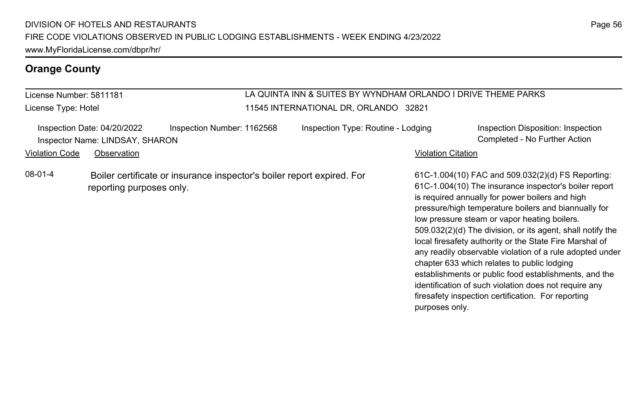#### License Number: 5811181 License Type: Hotel LA QUINTA INN & SUITES BY WYNDHAM ORLANDO I DRIVE THEME PARKS 11545 INTERNATIONAL DR, ORLANDO 32821 Inspection Date: 04/20/2022 Inspection Number: 1162568 Inspection Type: Routine - Lodging Inspection Disposition: Inspection Inspector Name: LINDSAY, SHARON Completed - No Further Action Violation Code Observation **Violation Code** Observation **Violation** Violation Citation Citation Citation Citation 61C-1.004(10) FAC and 509.032(2)(d) FS Reporting: 61C-1.004(10) The insurance inspector's boiler report 08-01-4 Boiler certificate or insurance inspector's boiler report expired. For reporting purposes only.

is required annually for power boilers and high pressure/high temperature boilers and biannually for low pressure steam or vapor heating boilers. 509.032(2)(d) The division, or its agent, shall notify the local firesafety authority or the State Fire Marshal of any readily observable violation of a rule adopted under chapter 633 which relates to public lodging establishments or public food establishments, and the identification of such violation does not require any firesafety inspection certification. For reporting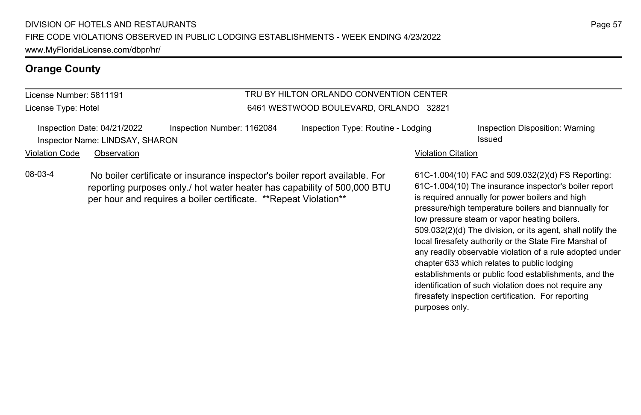License Number: 5811191 License Type: Hotel

### TRU BY HILTON ORLANDO CONVENTION CENTER 6461 WESTWOOD BOULEVARD, ORLANDO 32821

|                | Inspection Date: 04/21/2022     | Inspection Number: 1162084 | Inspection Type: Routine - Lodging |                    | Inspection Disposition: Warning |
|----------------|---------------------------------|----------------------------|------------------------------------|--------------------|---------------------------------|
|                | Inspector Name: LINDSAY, SHARON |                            |                                    |                    | Issued                          |
| Violation Code | Observation                     |                            |                                    | Violation Citation |                                 |

08-03-4 No boiler certificate or insurance inspector's boiler report available. For reporting purposes only./ hot water heater has capability of 500,000 BTU per hour and requires a boiler certificate. \*\*Repeat Violation\*\*

61C-1.004(10) FAC and 509.032(2)(d) FS Reporting: 61C-1.004(10) The insurance inspector's boiler report is required annually for power boilers and high pressure/high temperature boilers and biannually for low pressure steam or vapor heating boilers. 509.032(2)(d) The division, or its agent, shall notify the local firesafety authority or the State Fire Marshal of any readily observable violation of a rule adopted under chapter 633 which relates to public lodging establishments or public food establishments, and the identification of such violation does not require any firesafety inspection certification. For reporting purposes only.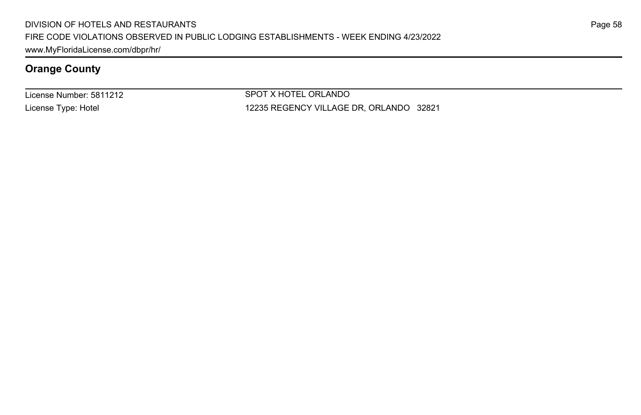License Number: 5811212 License Type: Hotel

SPOT X HOTEL ORLANDO 12235 REGENCY VILLAGE DR, ORLANDO 32821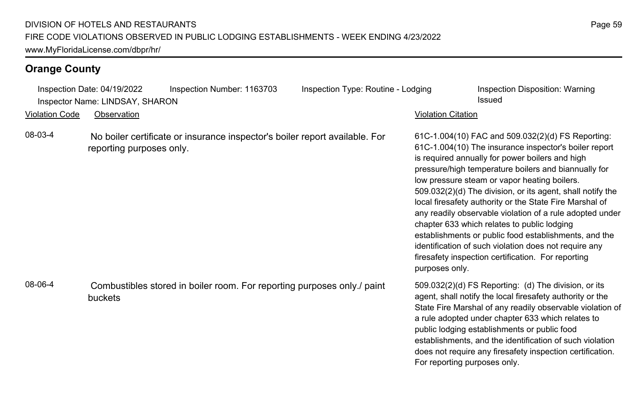Inspection Date: 04/19/2022 Inspection Number: 1163703 Inspection Type: Routine - Lodging Inspection Disposition: Warning Inspector Name: LINDSAY, SHARON **Issued Instead of Alliance Institute Institute Institute Institute Institute Institute Institute Institute Institute Institute Institute Institute Institute Institute Institute Institute** Violation Code Observation Violation Citation 61C-1.004(10) FAC and 509.032(2)(d) FS Reporting: 61C-1.004(10) The insurance inspector's boiler report is required annually for power boilers and high pressure/high temperature boilers and biannually for low pressure steam or vapor heating boilers. 509.032(2)(d) The division, or its agent, shall notify the local firesafety authority or the State Fire Marshal of any readily observable violation of a rule adopted under chapter 633 which relates to public lodging establishments or public food establishments, and the identification of such violation does not require any firesafety inspection certification. For reporting purposes only. 08-03-4 No boiler certificate or insurance inspector's boiler report available. For reporting purposes only. 509.032(2)(d) FS Reporting: (d) The division, or its agent, shall notify the local firesafety authority or the State Fire Marshal of any readily observable violation of a rule adopted under chapter 633 which relates to public lodging establishments or public food establishments, and the identification of such violation does not require any firesafety inspection certification. For reporting purposes only. 08-06-4 Combustibles stored in boiler room. For reporting purposes only./ paint buckets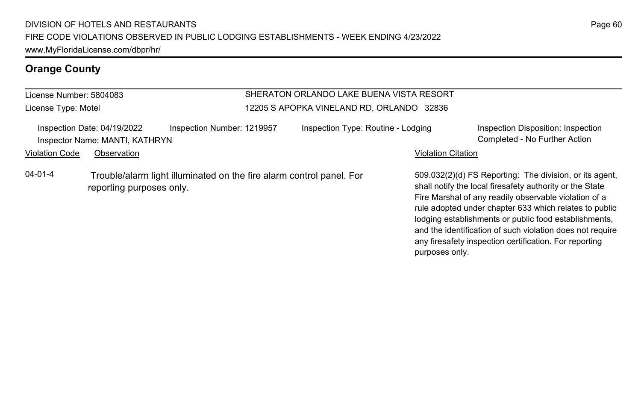License Number: 5804083 License Type: Motel

### SHERATON ORLANDO LAKE BUENA VISTA RESORT 12205 S APOPKA VINELAND RD, ORLANDO 32836

|                       | Inspection Date: 04/19/2022    | Inspection Number: 1219957                                           | Inspection Type: Routine - Lodging |                                                                                                                                                                                                                                        | Inspection Disposition: Inspection |  |
|-----------------------|--------------------------------|----------------------------------------------------------------------|------------------------------------|----------------------------------------------------------------------------------------------------------------------------------------------------------------------------------------------------------------------------------------|------------------------------------|--|
|                       | Inspector Name: MANTI, KATHRYN |                                                                      |                                    |                                                                                                                                                                                                                                        | Completed - No Further Action      |  |
| <b>Violation Code</b> | Observation                    |                                                                      |                                    | <b>Violation Citation</b>                                                                                                                                                                                                              |                                    |  |
| $04 - 01 - 4$         | reporting purposes only.       | Trouble/alarm light illuminated on the fire alarm control panel. For |                                    | 509.032(2)(d) FS Reporting: The division, or its agent,<br>shall notify the local firesafety authority or the State<br>Fire Marshal of any readily observable violation of a<br>rule adopted under chapter 633 which relates to public |                                    |  |

purposes only.

lodging establishments or public food establishments, and the identification of such violation does not require any firesafety inspection certification. For reporting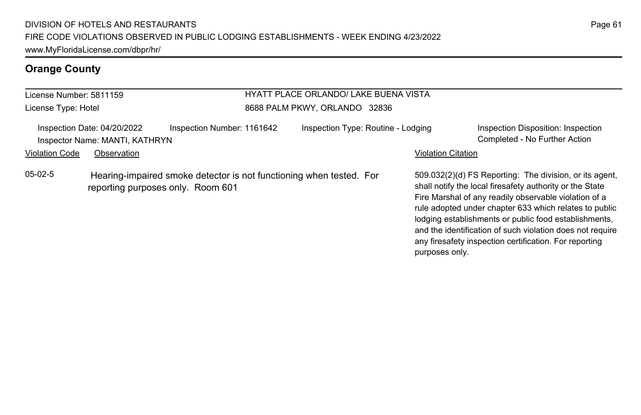| License Number: 5811159 |                                                               |                                                                                                          | HYATT PLACE ORLANDO/ LAKE BUENA VISTA |                           |                                                                                                                                                                                                                                                                                                                                                              |  |  |  |
|-------------------------|---------------------------------------------------------------|----------------------------------------------------------------------------------------------------------|---------------------------------------|---------------------------|--------------------------------------------------------------------------------------------------------------------------------------------------------------------------------------------------------------------------------------------------------------------------------------------------------------------------------------------------------------|--|--|--|
| License Type: Hotel     |                                                               |                                                                                                          | 8688 PALM PKWY, ORLANDO 32836         |                           |                                                                                                                                                                                                                                                                                                                                                              |  |  |  |
|                         | Inspection Date: 04/20/2022<br>Inspector Name: MANTI, KATHRYN | Inspection Number: 1161642                                                                               | Inspection Type: Routine - Lodging    |                           | Inspection Disposition: Inspection<br>Completed - No Further Action                                                                                                                                                                                                                                                                                          |  |  |  |
| <b>Violation Code</b>   | Observation                                                   |                                                                                                          |                                       | <b>Violation Citation</b> |                                                                                                                                                                                                                                                                                                                                                              |  |  |  |
| $05-02-5$               |                                                               | Hearing-impaired smoke detector is not functioning when tested. For<br>reporting purposes only. Room 601 |                                       |                           | 509.032(2)(d) FS Reporting: The division, or its agent.<br>shall notify the local firesafety authority or the State<br>Fire Marshal of any readily observable violation of a<br>rule adopted under chapter 633 which relates to public<br>lodging establishments or public food establishments,<br>and the identification of such violation does not require |  |  |  |

any firesafety inspection certification. For reporting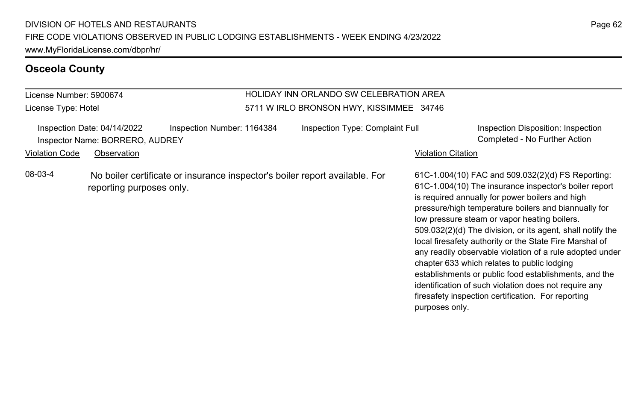### **Osceola County**

#### License Number: 5900674 License Type: Hotel HOLIDAY INN ORLANDO SW CELEBRATION AREA 5711 W IRLO BRONSON HWY, KISSIMMEE 34746 Inspection Date: 04/14/2022 Inspection Number: 1164384 Inspection Type: Complaint Full Inspection Disposition: Inspection Inspector Name: BORRERO, AUDREY Completed - No Further Action Violation Code Observation **Violation Code** Observation **Violation** Violation Citation Citation Citation Citation 61C-1.004(10) FAC and 509.032(2)(d) FS Reporting: 61C-1.004(10) The insurance inspector's boiler report is required annually for power boilers and high pressure/high temperature boilers and biannually for low pressure steam or vapor heating boilers. 509.032(2)(d) The division, or its agent, shall notify the local firesafety authority or the State Fire Marshal of any readily observable violation of a rule adopted under chapter 633 which relates to public lodging establishments or public food establishments, and the identification of such violation does not require any firesafety inspection certification. For reporting purposes only. 08-03-4 No boiler certificate or insurance inspector's boiler report available. For reporting purposes only.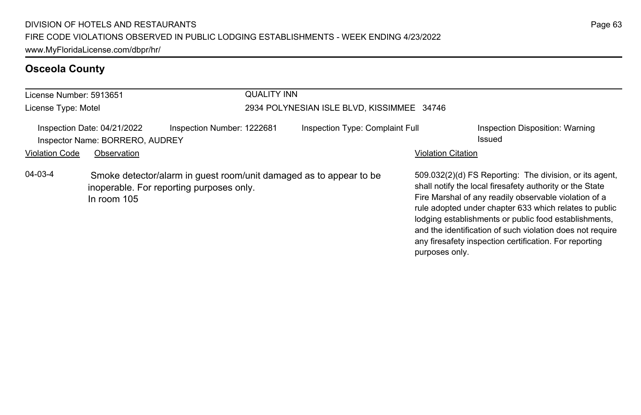# **Osceola County**

| License Number: 5913651                                        |             | <b>QUALITY INN</b>                                                                                             |                                            |                           |                                                                                                                                                                                                                                                                                                                                                                                                                        |  |  |
|----------------------------------------------------------------|-------------|----------------------------------------------------------------------------------------------------------------|--------------------------------------------|---------------------------|------------------------------------------------------------------------------------------------------------------------------------------------------------------------------------------------------------------------------------------------------------------------------------------------------------------------------------------------------------------------------------------------------------------------|--|--|
| License Type: Motel                                            |             |                                                                                                                | 2934 POLYNESIAN ISLE BLVD, KISSIMMEE 34746 |                           |                                                                                                                                                                                                                                                                                                                                                                                                                        |  |  |
| Inspection Date: 04/21/2022<br>Inspector Name: BORRERO, AUDREY |             | Inspection Number: 1222681                                                                                     | Inspection Type: Complaint Full            |                           | Inspection Disposition: Warning<br>Issued                                                                                                                                                                                                                                                                                                                                                                              |  |  |
| <b>Violation Code</b>                                          | Observation |                                                                                                                |                                            | <b>Violation Citation</b> |                                                                                                                                                                                                                                                                                                                                                                                                                        |  |  |
| 04-03-4                                                        | In room 105 | Smoke detector/alarm in guest room/unit damaged as to appear to be<br>inoperable. For reporting purposes only. |                                            | purposes only.            | 509.032(2)(d) FS Reporting: The division, or its agent,<br>shall notify the local firesafety authority or the State<br>Fire Marshal of any readily observable violation of a<br>rule adopted under chapter 633 which relates to public<br>lodging establishments or public food establishments,<br>and the identification of such violation does not require<br>any firesafety inspection certification. For reporting |  |  |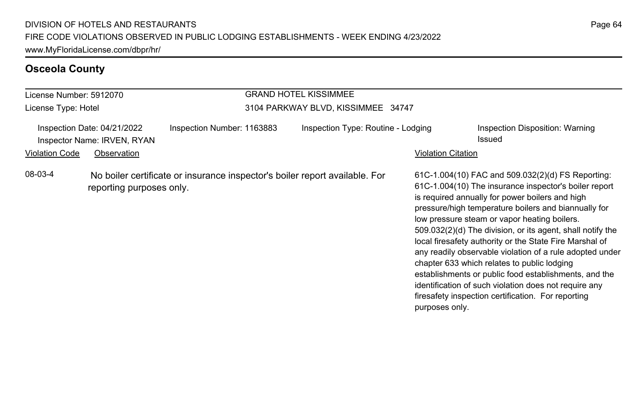# **Osceola County**

| License Number: 5912070                                                                                                          |                                                                                                         |  | <b>GRAND HOTEL KISSIMMEE</b>                             |                                    |                                           |                                                                                                                                                                                                                                                                                                                                                                                                                                                                                                                                                                                                                                                                                   |
|----------------------------------------------------------------------------------------------------------------------------------|---------------------------------------------------------------------------------------------------------|--|----------------------------------------------------------|------------------------------------|-------------------------------------------|-----------------------------------------------------------------------------------------------------------------------------------------------------------------------------------------------------------------------------------------------------------------------------------------------------------------------------------------------------------------------------------------------------------------------------------------------------------------------------------------------------------------------------------------------------------------------------------------------------------------------------------------------------------------------------------|
| License Type: Hotel                                                                                                              |                                                                                                         |  |                                                          | 3104 PARKWAY BLVD, KISSIMMEE 34747 |                                           |                                                                                                                                                                                                                                                                                                                                                                                                                                                                                                                                                                                                                                                                                   |
| Inspection Date: 04/21/2022<br>Inspection Number: 1163883<br>Inspector Name: IRVEN, RYAN<br><b>Violation Code</b><br>Observation |                                                                                                         |  | Inspection Type: Routine - Lodging<br>Violation Citation |                                    | Inspection Disposition: Warning<br>Issued |                                                                                                                                                                                                                                                                                                                                                                                                                                                                                                                                                                                                                                                                                   |
| 08-03-4                                                                                                                          | No boiler certificate or insurance inspector's boiler report available. For<br>reporting purposes only. |  |                                                          |                                    | purposes only.                            | 61C-1.004(10) FAC and 509.032(2)(d) FS Reporting:<br>61C-1.004(10) The insurance inspector's boiler report<br>is required annually for power boilers and high<br>pressure/high temperature boilers and biannually for<br>low pressure steam or vapor heating boilers.<br>509.032(2)(d) The division, or its agent, shall notify the<br>local firesafety authority or the State Fire Marshal of<br>any readily observable violation of a rule adopted under<br>chapter 633 which relates to public lodging<br>establishments or public food establishments, and the<br>identification of such violation does not require any<br>firesafety inspection certification. For reporting |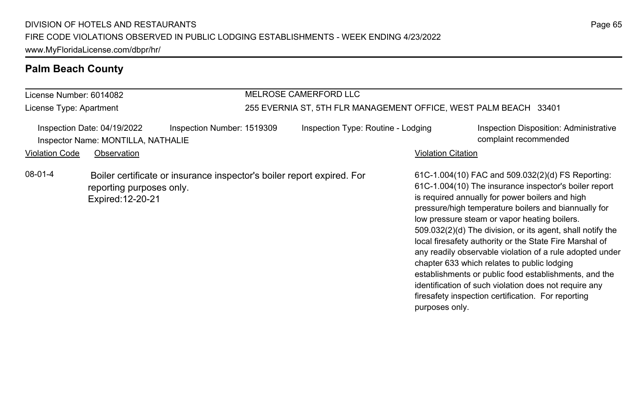#### License Number: 6014082 License Type: Apartment MELROSE CAMERFORD LLC 255 EVERNIA ST, 5TH FLR MANAGEMENT OFFICE, WEST PALM BEACH 33401 Inspection Date: 04/19/2022 Inspection Number: 1519309 Inspection Type: Routine - Lodging Inspection Disposition: Administrative Inspector Name: MONTILLA, NATHALIE complaint recommended Violation Code Observation **Violation Code** Observation **Violation** Violation Citation Citation Citation Citation 61C-1.004(10) FAC and 509.032(2)(d) FS Reporting: 61C-1.004(10) The insurance inspector's boiler report is required annually for power boilers and high pressure/high temperature boilers and biannually for low pressure steam or vapor heating boilers. 509.032(2)(d) The division, or its agent, shall notify the local firesafety authority or the State Fire Marshal of any readily observable violation of a rule adopted under chapter 633 which relates to public lodging establishments or public food establishments, and the identification of such violation does not require any firesafety inspection certification. For reporting purposes only. 08-01-4 Boiler certificate or insurance inspector's boiler report expired. For reporting purposes only. Expired:12-20-21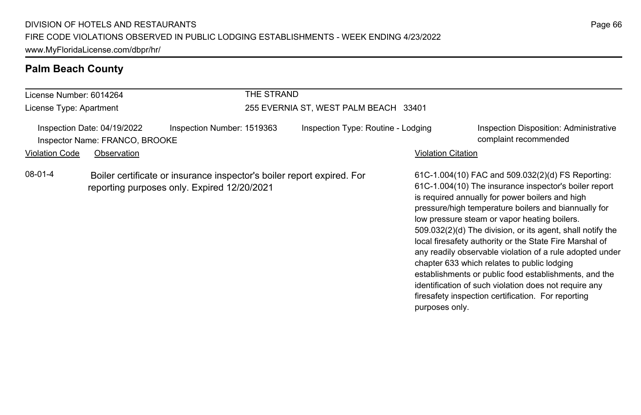| License Number: 6014264                                                                                                            |             | THE STRAND                 |                                       |                           |                                                                                                                                                                                                                                                                                                                                                                                                                                                                                                                                                                                                                                                                                   |  |  |
|------------------------------------------------------------------------------------------------------------------------------------|-------------|----------------------------|---------------------------------------|---------------------------|-----------------------------------------------------------------------------------------------------------------------------------------------------------------------------------------------------------------------------------------------------------------------------------------------------------------------------------------------------------------------------------------------------------------------------------------------------------------------------------------------------------------------------------------------------------------------------------------------------------------------------------------------------------------------------------|--|--|
| License Type: Apartment                                                                                                            |             |                            | 255 EVERNIA ST, WEST PALM BEACH 33401 |                           |                                                                                                                                                                                                                                                                                                                                                                                                                                                                                                                                                                                                                                                                                   |  |  |
| Inspection Date: 04/19/2022<br>Inspector Name: FRANCO, BROOKE                                                                      |             | Inspection Number: 1519363 | Inspection Type: Routine - Lodging    |                           | Inspection Disposition: Administrative<br>complaint recommended                                                                                                                                                                                                                                                                                                                                                                                                                                                                                                                                                                                                                   |  |  |
| <b>Violation Code</b>                                                                                                              | Observation |                            |                                       | <b>Violation Citation</b> |                                                                                                                                                                                                                                                                                                                                                                                                                                                                                                                                                                                                                                                                                   |  |  |
| $08-01-4$<br>Boiler certificate or insurance inspector's boiler report expired. For<br>reporting purposes only. Expired 12/20/2021 |             |                            |                                       | purposes only.            | 61C-1.004(10) FAC and 509.032(2)(d) FS Reporting:<br>61C-1.004(10) The insurance inspector's boiler report<br>is required annually for power boilers and high<br>pressure/high temperature boilers and biannually for<br>low pressure steam or vapor heating boilers.<br>509.032(2)(d) The division, or its agent, shall notify the<br>local firesafety authority or the State Fire Marshal of<br>any readily observable violation of a rule adopted under<br>chapter 633 which relates to public lodging<br>establishments or public food establishments, and the<br>identification of such violation does not require any<br>firesafety inspection certification. For reporting |  |  |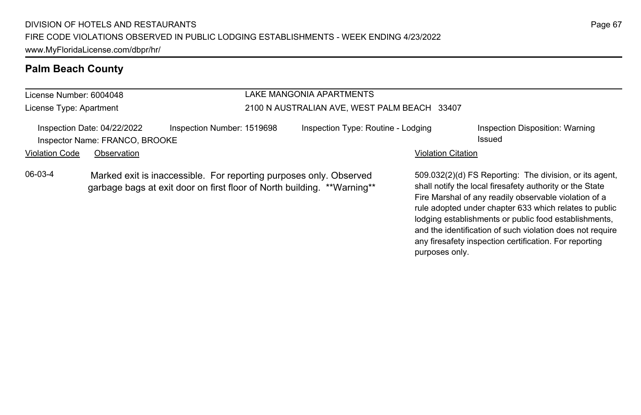License Type: Apartment

#### License Number: 6004048 LAKE MANGONIA APARTMENTS

#### 2100 N AUSTRALIAN AVE, WEST PALM BEACH 33407

|                | Inspection Date: 04/22/2022    | Inspection Number: 1519698 | Inspection Type: Routine - Lodging |                           | Inspection Disposition: Warning |  |  |
|----------------|--------------------------------|----------------------------|------------------------------------|---------------------------|---------------------------------|--|--|
|                | Inspector Name: FRANCO, BROOKE |                            |                                    |                           | Issued                          |  |  |
| Violation Code | Observation                    |                            |                                    | <b>Violation Citation</b> |                                 |  |  |
| 00001          | .<br>.                         | $\cdots$ $\cdots$          |                                    | $= 22.2825$               |                                 |  |  |

06-03-4 Marked exit is inaccessible. For reporting purposes only. Observed garbage bags at exit door on first floor of North building. \*\*Warning\*\* 509.032(2)(d) FS Reporting: The division, or its agent, shall notify the local firesafety authority or the State Fire Marshal of any readily observable violation of a rule adopted under chapter 633 which relates to public lodging establishments or public food establishments, and the identification of such violation does not require any firesafety inspection certification. For reporting purposes only.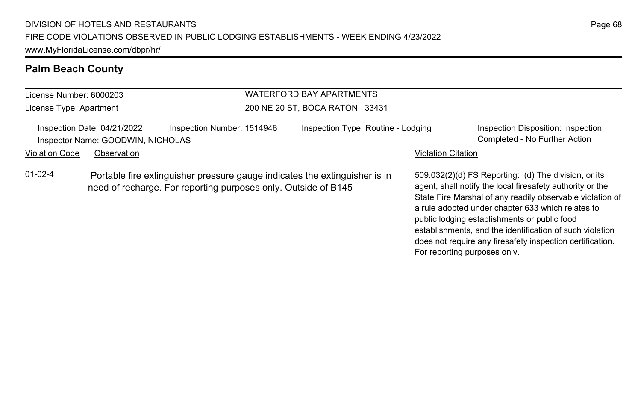| License Number: 6000203                                          |             |                                                                                                                                              | <b>WATERFORD BAY APARTMENTS</b>    |  |                                                                                                                                                                                                                                                                                                                                                                                                                                              |  |  |
|------------------------------------------------------------------|-------------|----------------------------------------------------------------------------------------------------------------------------------------------|------------------------------------|--|----------------------------------------------------------------------------------------------------------------------------------------------------------------------------------------------------------------------------------------------------------------------------------------------------------------------------------------------------------------------------------------------------------------------------------------------|--|--|
| License Type: Apartment                                          |             |                                                                                                                                              | 200 NE 20 ST, BOCA RATON 33431     |  |                                                                                                                                                                                                                                                                                                                                                                                                                                              |  |  |
| Inspection Date: 04/21/2022<br>Inspector Name: GOODWIN, NICHOLAS |             | Inspection Number: 1514946                                                                                                                   | Inspection Type: Routine - Lodging |  | Inspection Disposition: Inspection<br>Completed - No Further Action                                                                                                                                                                                                                                                                                                                                                                          |  |  |
| <b>Violation Code</b>                                            | Observation |                                                                                                                                              |                                    |  | <b>Violation Citation</b>                                                                                                                                                                                                                                                                                                                                                                                                                    |  |  |
| $01 - 02 - 4$                                                    |             | Portable fire extinguisher pressure gauge indicates the extinguisher is in<br>need of recharge. For reporting purposes only. Outside of B145 |                                    |  | 509.032(2)(d) FS Reporting: (d) The division, or its<br>agent, shall notify the local firesafety authority or the<br>State Fire Marshal of any readily observable violation of<br>a rule adopted under chapter 633 which relates to<br>public lodging establishments or public food<br>establishments, and the identification of such violation<br>does not require any firesafety inspection certification.<br>For reporting purposes only. |  |  |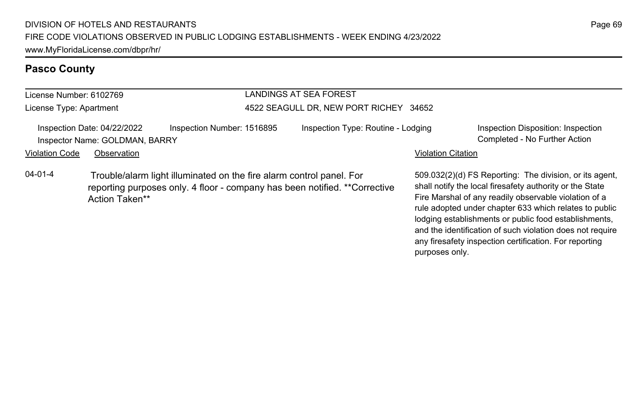#### License Number: 6102769 License Type: Apartment LANDINGS AT SEA FOREST 4522 SEAGULL DR, NEW PORT RICHEY 34652 Inspection Date: 04/22/2022 Inspection Number: 1516895 Inspection Type: Routine - Lodging Inspection Disposition: Inspection Inspector Name: GOLDMAN, BARRY Completed - No Further Action Violation Code Observation **Violation Code Observation** Violation Citation Citation Citation Citation Citation Citation Citation Citation Citation Citation Citation Citation Citation Citation Citation Citation Citation Cit 509.032(2)(d) FS Reporting: The division, or its agent, shall notify the local firesafety authority or the State Fire Marshal of any readily observable violation of a rule adopted under chapter 633 which relates to public 04-01-4 Trouble/alarm light illuminated on the fire alarm control panel. For reporting purposes only. 4 floor - company has been notified. \*\*Corrective Action Taken\*\*

lodging establishments or public food establishments, and the identification of such violation does not require any firesafety inspection certification. For reporting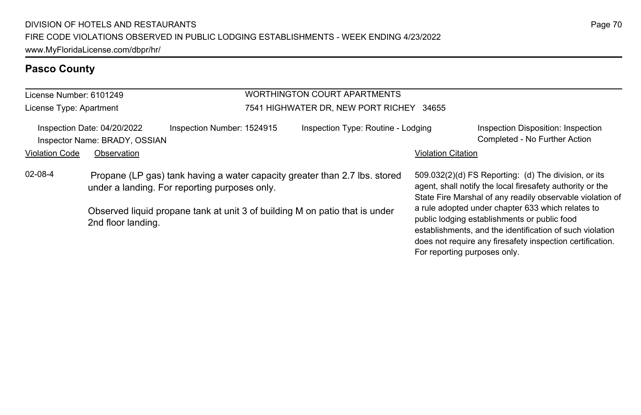#### License Number: 6101249 License Type: Apartment WORTHINGTON COURT APARTMENTS 7541 HIGHWATER DR, NEW PORT RICHEY 34655 Inspection Date: 04/20/2022 Inspection Number: 1524915 Inspection Type: Routine - Lodging Inspection Disposition: Inspection Inspector Name: BRADY, OSSIAN Completed - No Further Action Violation Code Observation **Violation Code** Observation **Violation** Violation Citation Citation Citation Citation 509.032(2)(d) FS Reporting: (d) The division, or its agent, shall notify the local firesafety authority or the State Fire Marshal of any readily observable violation of a rule adopted under chapter 633 which relates to public lodging establishments or public food establishments, and the identification of such violation does not require any firesafety inspection certification. For reporting purposes only. 02-08-4 Propane (LP gas) tank having a water capacity greater than 2.7 lbs. stored under a landing. For reporting purposes only. Observed liquid propane tank at unit 3 of building M on patio that is under 2nd floor landing.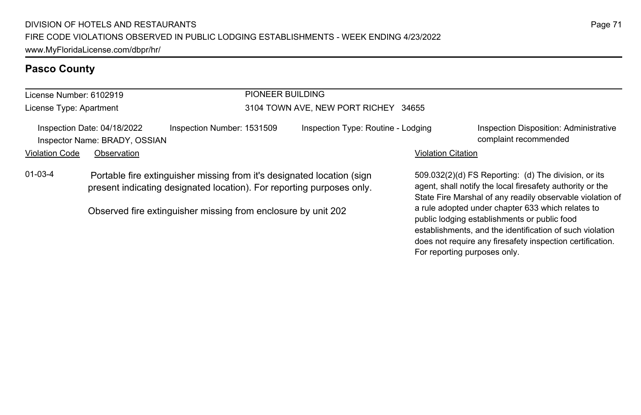#### License Number: 6102919 License Type: Apartment PIONEER BUILDING 3104 TOWN AVE, NEW PORT RICHEY 34655 Inspection Date: 04/18/2022 Inspection Number: 1531509 Inspection Type: Routine - Lodging Inspection Disposition: Administrative Inspector Name: BRADY, OSSIAN complaint recommended Violation Code Observation **Violation Code** Observation **Violation** Violation Citation Citation Citation Citation 509.032(2)(d) FS Reporting: (d) The division, or its agent, shall notify the local firesafety authority or the State Fire Marshal of any readily observable violation of a rule adopted under chapter 633 which relates to public lodging establishments or public food 01-03-4 Portable fire extinguisher missing from it's designated location (sign present indicating designated location). For reporting purposes only. Observed fire extinguisher missing from enclosure by unit 202

establishments, and the identification of such violation does not require any firesafety inspection certification.

For reporting purposes only.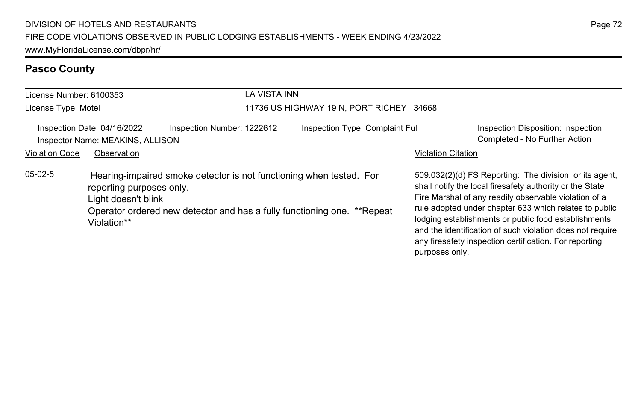| License Number: 6100353                                         |                                                                | LA VISTA INN                                                                                                                                   |                                          |                           |                                                                                                                                                                                                                                                                                                                                                                                                                        |
|-----------------------------------------------------------------|----------------------------------------------------------------|------------------------------------------------------------------------------------------------------------------------------------------------|------------------------------------------|---------------------------|------------------------------------------------------------------------------------------------------------------------------------------------------------------------------------------------------------------------------------------------------------------------------------------------------------------------------------------------------------------------------------------------------------------------|
| License Type: Motel                                             |                                                                |                                                                                                                                                | 11736 US HIGHWAY 19 N, PORT RICHEY 34668 |                           |                                                                                                                                                                                                                                                                                                                                                                                                                        |
| Inspection Date: 04/16/2022<br>Inspector Name: MEAKINS, ALLISON |                                                                | Inspection Number: 1222612                                                                                                                     | Inspection Type: Complaint Full          |                           | Inspection Disposition: Inspection<br>Completed - No Further Action                                                                                                                                                                                                                                                                                                                                                    |
| <b>Violation Code</b>                                           | Observation                                                    |                                                                                                                                                |                                          | <b>Violation Citation</b> |                                                                                                                                                                                                                                                                                                                                                                                                                        |
| $05-02-5$                                                       | reporting purposes only.<br>Light doesn't blink<br>Violation** | Hearing-impaired smoke detector is not functioning when tested. For<br>Operator ordered new detector and has a fully functioning one. **Repeat |                                          | purposes only.            | 509.032(2)(d) FS Reporting: The division, or its agent,<br>shall notify the local firesafety authority or the State<br>Fire Marshal of any readily observable violation of a<br>rule adopted under chapter 633 which relates to public<br>lodging establishments or public food establishments,<br>and the identification of such violation does not require<br>any firesafety inspection certification. For reporting |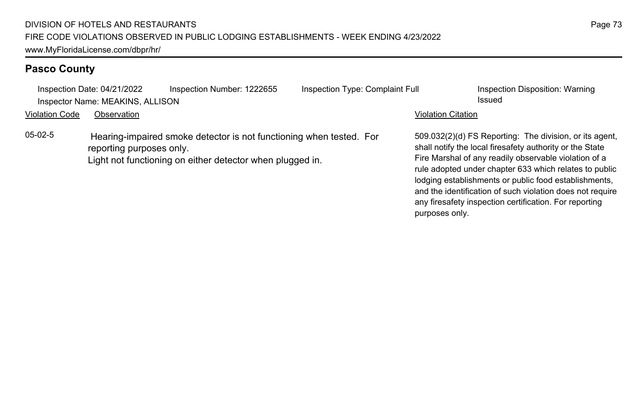#### **Pasco County**

Inspection Date: 04/21/2022 Inspection Number: 1222655 Inspection Type: Complaint Full Inspection Disposition: Warning Inspector Name: MEAKINS, ALLISON **Issued** 

Violation Code Observation Violation Citation

05-02-5 Hearing-impaired smoke detector is not functioning when tested. For reporting purposes only. Light not functioning on either detector when plugged in.

509.032(2)(d) FS Reporting: The division, or its agent, shall notify the local firesafety authority or the State Fire Marshal of any readily observable violation of a rule adopted under chapter 633 which relates to public lodging establishments or public food establishments, and the identification of such violation does not require any firesafety inspection certification. For reporting purposes only.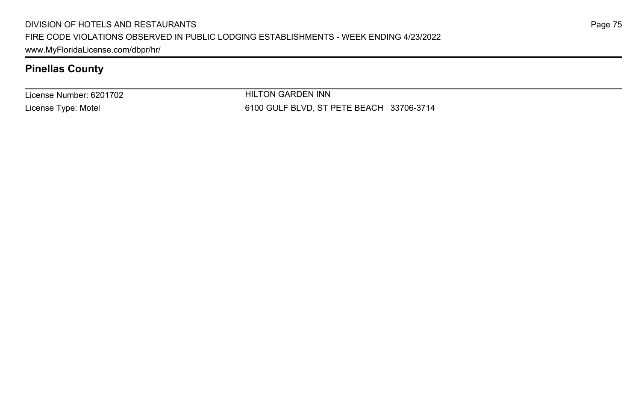License Number: 6201702 License Type: Motel

HILTON GARDEN INN 6100 GULF BLVD, ST PETE BEACH 33706-3714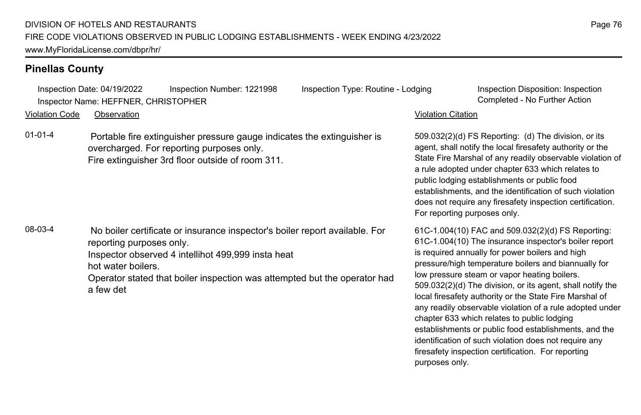|                       | Inspection Date: 04/19/2022                                 | Inspection Number: 1221998                                                                                                                                                                                     | Inspection Type: Routine - Lodging |                           | Inspection Disposition: Inspection                                                                                                                                                                                                                                                                                                                                                                                                                                                                                                                                                                                                                                                |
|-----------------------|-------------------------------------------------------------|----------------------------------------------------------------------------------------------------------------------------------------------------------------------------------------------------------------|------------------------------------|---------------------------|-----------------------------------------------------------------------------------------------------------------------------------------------------------------------------------------------------------------------------------------------------------------------------------------------------------------------------------------------------------------------------------------------------------------------------------------------------------------------------------------------------------------------------------------------------------------------------------------------------------------------------------------------------------------------------------|
|                       | Inspector Name: HEFFNER, CHRISTOPHER                        |                                                                                                                                                                                                                |                                    |                           | Completed - No Further Action                                                                                                                                                                                                                                                                                                                                                                                                                                                                                                                                                                                                                                                     |
| <b>Violation Code</b> | Observation                                                 |                                                                                                                                                                                                                |                                    | <b>Violation Citation</b> |                                                                                                                                                                                                                                                                                                                                                                                                                                                                                                                                                                                                                                                                                   |
| $01 - 01 - 4$         |                                                             | Portable fire extinguisher pressure gauge indicates the extinguisher is<br>overcharged. For reporting purposes only.<br>Fire extinguisher 3rd floor outside of room 311.                                       |                                    |                           | 509.032(2)(d) FS Reporting: (d) The division, or its<br>agent, shall notify the local firesafety authority or the<br>State Fire Marshal of any readily observable violation of<br>a rule adopted under chapter 633 which relates to<br>public lodging establishments or public food<br>establishments, and the identification of such violation<br>does not require any firesafety inspection certification.<br>For reporting purposes only.                                                                                                                                                                                                                                      |
| 08-03-4               | reporting purposes only.<br>hot water boilers.<br>a few det | No boiler certificate or insurance inspector's boiler report available. For<br>Inspector observed 4 intellihot 499,999 insta heat<br>Operator stated that boiler inspection was attempted but the operator had |                                    |                           | 61C-1.004(10) FAC and 509.032(2)(d) FS Reporting:<br>61C-1.004(10) The insurance inspector's boiler report<br>is required annually for power boilers and high<br>pressure/high temperature boilers and biannually for<br>low pressure steam or vapor heating boilers.<br>509.032(2)(d) The division, or its agent, shall notify the<br>local firesafety authority or the State Fire Marshal of<br>any readily observable violation of a rule adopted under<br>chapter 633 which relates to public lodging<br>establishments or public food establishments, and the<br>identification of such violation does not require any<br>firesafety inspection certification. For reporting |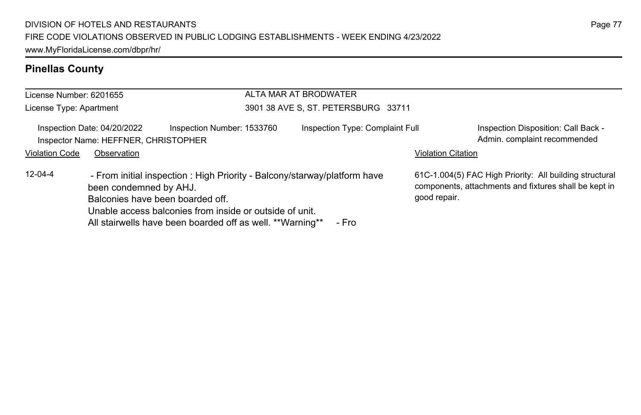| License Number: 6201655<br>License Type: Apartment |                                                                     |                                                                                                                                                                                                   | ALTA MAR AT BRODWATER<br>3901 38 AVE S, ST. PETERSBURG 33711 |                           |                                                                                                                  |  |  |
|----------------------------------------------------|---------------------------------------------------------------------|---------------------------------------------------------------------------------------------------------------------------------------------------------------------------------------------------|--------------------------------------------------------------|---------------------------|------------------------------------------------------------------------------------------------------------------|--|--|
|                                                    | Inspection Date: 04/20/2022<br>Inspector Name: HEFFNER, CHRISTOPHER | Inspection Number: 1533760                                                                                                                                                                        | Inspection Type: Complaint Full                              |                           | Inspection Disposition: Call Back -<br>Admin. complaint recommended                                              |  |  |
| <b>Violation Code</b>                              | Observation                                                         |                                                                                                                                                                                                   |                                                              | <b>Violation Citation</b> |                                                                                                                  |  |  |
| $12 - 04 - 4$                                      | been condemned by AHJ.<br>Balconies have been boarded off.          | - From initial inspection : High Priority - Balcony/starway/platform have<br>Unable access balconies from inside or outside of unit.<br>All stairwells have been boarded off as well. **Warning** | - Fro                                                        | good repair.              | 61C-1.004(5) FAC High Priority: All building structural<br>components, attachments and fixtures shall be kept in |  |  |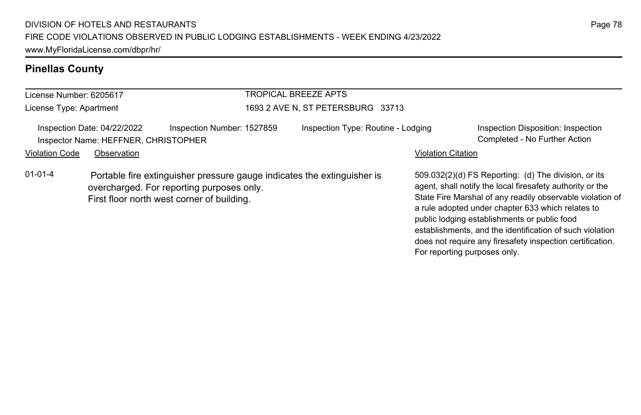| License Number: 6205617                                             |             |                                                                                                                                                                    | <b>TROPICAL BREEZE APTS</b>        |                              |                                                                                                                                                                                                                                                                                                                                                                                                              |
|---------------------------------------------------------------------|-------------|--------------------------------------------------------------------------------------------------------------------------------------------------------------------|------------------------------------|------------------------------|--------------------------------------------------------------------------------------------------------------------------------------------------------------------------------------------------------------------------------------------------------------------------------------------------------------------------------------------------------------------------------------------------------------|
| License Type: Apartment                                             |             |                                                                                                                                                                    | 1693 2 AVE N, ST PETERSBURG 33713  |                              |                                                                                                                                                                                                                                                                                                                                                                                                              |
| Inspection Date: 04/22/2022<br>Inspector Name: HEFFNER, CHRISTOPHER |             | Inspection Number: 1527859                                                                                                                                         | Inspection Type: Routine - Lodging |                              | Inspection Disposition: Inspection<br>Completed - No Further Action                                                                                                                                                                                                                                                                                                                                          |
| <b>Violation Code</b>                                               | Observation |                                                                                                                                                                    |                                    | <b>Violation Citation</b>    |                                                                                                                                                                                                                                                                                                                                                                                                              |
| $01 - 01 - 4$                                                       |             | Portable fire extinguisher pressure gauge indicates the extinguisher is<br>overcharged. For reporting purposes only.<br>First floor north west corner of building. |                                    | For reporting purposes only. | 509.032(2)(d) FS Reporting: (d) The division, or its<br>agent, shall notify the local firesafety authority or the<br>State Fire Marshal of any readily observable violation of<br>a rule adopted under chapter 633 which relates to<br>public lodging establishments or public food<br>establishments, and the identification of such violation<br>does not require any firesafety inspection certification. |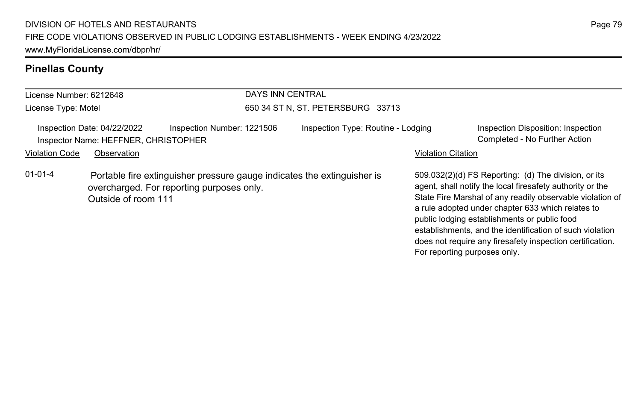| License Number: 6212648                                                                           |                     |                                           | DAYS INN CENTRAL                   |                                                                         |                                                                     |                                                                                                                                                                                                                                                                                                                                                                                                              |  |
|---------------------------------------------------------------------------------------------------|---------------------|-------------------------------------------|------------------------------------|-------------------------------------------------------------------------|---------------------------------------------------------------------|--------------------------------------------------------------------------------------------------------------------------------------------------------------------------------------------------------------------------------------------------------------------------------------------------------------------------------------------------------------------------------------------------------------|--|
| License Type: Motel                                                                               |                     |                                           | 650 34 ST N. ST. PETERSBURG 33713  |                                                                         |                                                                     |                                                                                                                                                                                                                                                                                                                                                                                                              |  |
| Inspection Number: 1221506<br>Inspection Date: 04/22/2022<br>Inspector Name: HEFFNER, CHRISTOPHER |                     |                                           | Inspection Type: Routine - Lodging |                                                                         | Inspection Disposition: Inspection<br>Completed - No Further Action |                                                                                                                                                                                                                                                                                                                                                                                                              |  |
| <b>Violation Code</b>                                                                             | Observation         |                                           |                                    |                                                                         | <b>Violation Citation</b>                                           |                                                                                                                                                                                                                                                                                                                                                                                                              |  |
| $01 - 01 - 4$                                                                                     | Outside of room 111 | overcharged. For reporting purposes only. |                                    | Portable fire extinguisher pressure gauge indicates the extinguisher is |                                                                     | 509.032(2)(d) FS Reporting: (d) The division, or its<br>agent, shall notify the local firesafety authority or the<br>State Fire Marshal of any readily observable violation of<br>a rule adopted under chapter 633 which relates to<br>public lodging establishments or public food<br>establishments, and the identification of such violation<br>does not require any firesafety inspection certification. |  |

For reporting purposes only.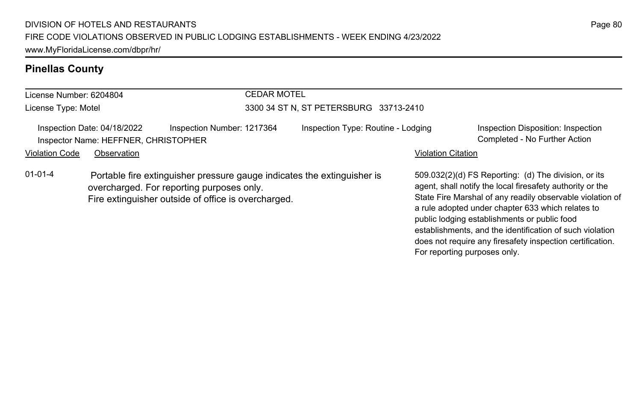| License Number: 6204804                                                                           |             |                                                                                                  | <b>CEDAR MOTEL</b>                 |                                                                         |                                                                     |                                                                                                                                                                                                                                                                                                                                                                                                              |  |
|---------------------------------------------------------------------------------------------------|-------------|--------------------------------------------------------------------------------------------------|------------------------------------|-------------------------------------------------------------------------|---------------------------------------------------------------------|--------------------------------------------------------------------------------------------------------------------------------------------------------------------------------------------------------------------------------------------------------------------------------------------------------------------------------------------------------------------------------------------------------------|--|
| License Type: Motel                                                                               |             |                                                                                                  |                                    | 3300 34 ST N, ST PETERSBURG 33713-2410                                  |                                                                     |                                                                                                                                                                                                                                                                                                                                                                                                              |  |
| Inspection Date: 04/18/2022<br>Inspection Number: 1217364<br>Inspector Name: HEFFNER, CHRISTOPHER |             |                                                                                                  | Inspection Type: Routine - Lodging |                                                                         | Inspection Disposition: Inspection<br>Completed - No Further Action |                                                                                                                                                                                                                                                                                                                                                                                                              |  |
| <b>Violation Code</b>                                                                             | Observation |                                                                                                  |                                    |                                                                         | <b>Violation Citation</b>                                           |                                                                                                                                                                                                                                                                                                                                                                                                              |  |
| $01 - 01 - 4$                                                                                     |             | overcharged. For reporting purposes only.<br>Fire extinguisher outside of office is overcharged. |                                    | Portable fire extinguisher pressure gauge indicates the extinguisher is | For reporting purposes only.                                        | 509.032(2)(d) FS Reporting: (d) The division, or its<br>agent, shall notify the local firesafety authority or the<br>State Fire Marshal of any readily observable violation of<br>a rule adopted under chapter 633 which relates to<br>public lodging establishments or public food<br>establishments, and the identification of such violation<br>does not require any firesafety inspection certification. |  |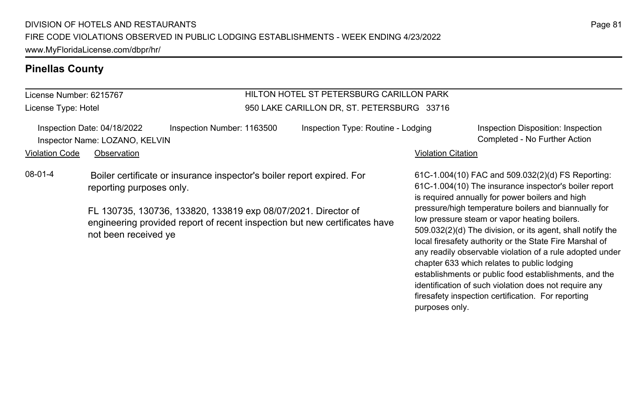License Number: 6215767 License Type: Hotel

#### HILTON HOTEL ST PETERSBURG CARILLON PARK 950 LAKE CARILLON DR, ST. PETERSBURG 33716

Inspection Date: 04/18/2022 Inspection Number: 1163500 Inspection Type: Routine - Lodging Inspection Disposition: Inspection Inspector Name: LOZANO, KELVIN Completed - No Further Action

Violation Code Observation **Violation Code** Observation **Violation** Violation Citation Citation Citation Citation

08-01-4 Boiler certificate or insurance inspector's boiler report expired. For reporting purposes only.

> FL 130735, 130736, 133820, 133819 exp 08/07/2021. Director of engineering provided report of recent inspection but new certificates have not been received ye

61C-1.004(10) FAC and 509.032(2)(d) FS Reporting: 61C-1.004(10) The insurance inspector's boiler report is required annually for power boilers and high pressure/high temperature boilers and biannually for low pressure steam or vapor heating boilers. 509.032(2)(d) The division, or its agent, shall notify the local firesafety authority or the State Fire Marshal of any readily observable violation of a rule adopted under chapter 633 which relates to public lodging establishments or public food establishments, and the identification of such violation does not require any firesafety inspection certification. For reporting purposes only.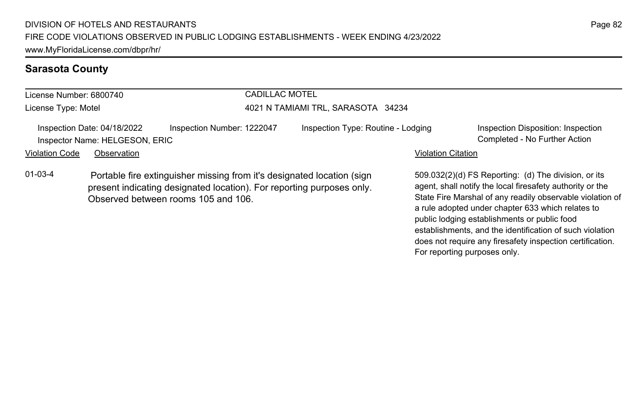#### **Sarasota County**

| License Number: 6800740                                       |             | <b>CADILLAC MOTEL</b>                                                   |                                    |                                                                     |  |  |
|---------------------------------------------------------------|-------------|-------------------------------------------------------------------------|------------------------------------|---------------------------------------------------------------------|--|--|
| License Type: Motel                                           |             |                                                                         | 4021 N TAMIAMI TRL, SARASOTA 34234 |                                                                     |  |  |
| Inspection Date: 04/18/2022<br>Inspector Name: HELGESON, ERIC |             | Inspection Number: 1222047                                              | Inspection Type: Routine - Lodging | Inspection Disposition: Inspection<br>Completed - No Further Action |  |  |
| Violation Code                                                | Observation |                                                                         | <b>Violation Citation</b>          |                                                                     |  |  |
| 01-03-4                                                       |             | Portable fire extinguisher missing from it's designated location (sign) |                                    | $509032(2)(d)$ FS Reporting $(d)$ The division or its               |  |  |

Portable fire extinguisher missing from it's designated location (sign present indicating designated location). For reporting purposes only. Observed between rooms 105 and 106.

509.032(2)(d) FS Reporting: (d) The division, or its agent, shall notify the local firesafety authority or the State Fire Marshal of any readily observable violation of a rule adopted under chapter 633 which relates to public lodging establishments or public food establishments, and the identification of such violation does not require any firesafety inspection certification. For reporting purposes only.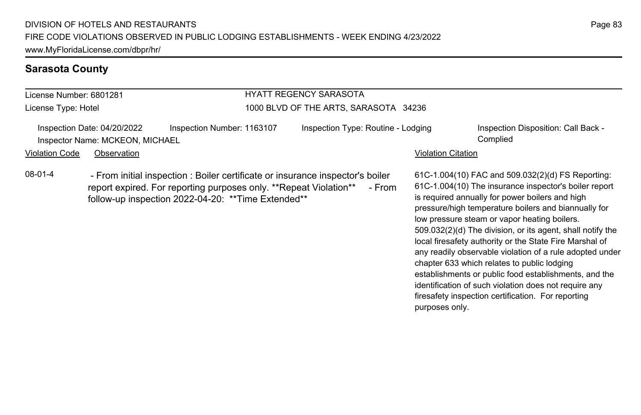# **Sarasota County**

| License Number: 6801281                                        |             |                                                                                                                                                                                                            | <b>HYATT REGENCY SARASOTA</b>         |                    |                                                                                                                                                                                                                                                                                                                                                                                                                                                                                                                                                                                                                                                                                   |
|----------------------------------------------------------------|-------------|------------------------------------------------------------------------------------------------------------------------------------------------------------------------------------------------------------|---------------------------------------|--------------------|-----------------------------------------------------------------------------------------------------------------------------------------------------------------------------------------------------------------------------------------------------------------------------------------------------------------------------------------------------------------------------------------------------------------------------------------------------------------------------------------------------------------------------------------------------------------------------------------------------------------------------------------------------------------------------------|
| License Type: Hotel                                            |             |                                                                                                                                                                                                            | 1000 BLVD OF THE ARTS, SARASOTA 34236 |                    |                                                                                                                                                                                                                                                                                                                                                                                                                                                                                                                                                                                                                                                                                   |
| Inspection Date: 04/20/2022<br>Inspector Name: MCKEON, MICHAEL |             | Inspection Number: 1163107                                                                                                                                                                                 | Inspection Type: Routine - Lodging    |                    | Inspection Disposition: Call Back -<br>Complied                                                                                                                                                                                                                                                                                                                                                                                                                                                                                                                                                                                                                                   |
| <b>Violation Code</b>                                          | Observation |                                                                                                                                                                                                            |                                       | Violation Citation |                                                                                                                                                                                                                                                                                                                                                                                                                                                                                                                                                                                                                                                                                   |
| $08-01-4$                                                      |             | - From initial inspection : Boiler certificate or insurance inspector's boiler<br>report expired. For reporting purposes only. **Repeat Violation**<br>follow-up inspection 2022-04-20: ** Time Extended** | - From                                | purposes only.     | 61C-1.004(10) FAC and 509.032(2)(d) FS Reporting:<br>61C-1.004(10) The insurance inspector's boiler report<br>is required annually for power boilers and high<br>pressure/high temperature boilers and biannually for<br>low pressure steam or vapor heating boilers.<br>509.032(2)(d) The division, or its agent, shall notify the<br>local firesafety authority or the State Fire Marshal of<br>any readily observable violation of a rule adopted under<br>chapter 633 which relates to public lodging<br>establishments or public food establishments, and the<br>identification of such violation does not require any<br>firesafety inspection certification. For reporting |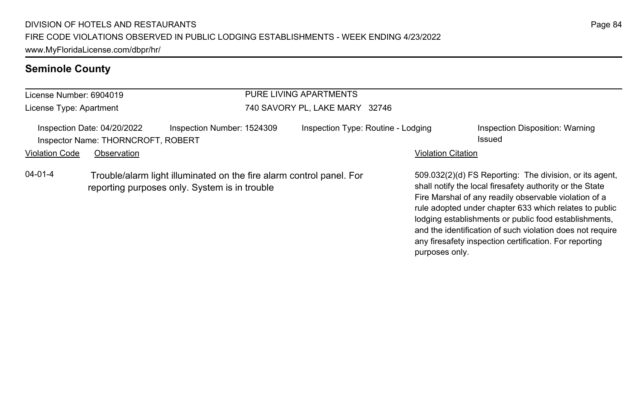# **Seminole County**

| License Number: 6904019 |                                                                   | PURE LIVING APARTMENTS                                                                                                |                                    |                           |                                                                                                                                                                                                                                                                                                 |  |
|-------------------------|-------------------------------------------------------------------|-----------------------------------------------------------------------------------------------------------------------|------------------------------------|---------------------------|-------------------------------------------------------------------------------------------------------------------------------------------------------------------------------------------------------------------------------------------------------------------------------------------------|--|
| License Type: Apartment |                                                                   |                                                                                                                       | 740 SAVORY PL, LAKE MARY 32746     |                           |                                                                                                                                                                                                                                                                                                 |  |
|                         | Inspection Date: 04/20/2022<br>Inspector Name: THORNCROFT, ROBERT | Inspection Number: 1524309                                                                                            | Inspection Type: Routine - Lodging |                           | Inspection Disposition: Warning<br>Issued                                                                                                                                                                                                                                                       |  |
| <b>Violation Code</b>   | Observation                                                       |                                                                                                                       |                                    | <b>Violation Citation</b> |                                                                                                                                                                                                                                                                                                 |  |
| $04 - 01 - 4$           |                                                                   | Trouble/alarm light illuminated on the fire alarm control panel. For<br>reporting purposes only. System is in trouble |                                    |                           | 509.032(2)(d) FS Reporting: The division, or its agent,<br>shall notify the local firesafety authority or the State<br>Fire Marshal of any readily observable violation of a<br>rule adopted under chapter 633 which relates to public<br>lodging establishments or public food establishments. |  |

and the identification of such violation does not require any firesafety inspection certification. For reporting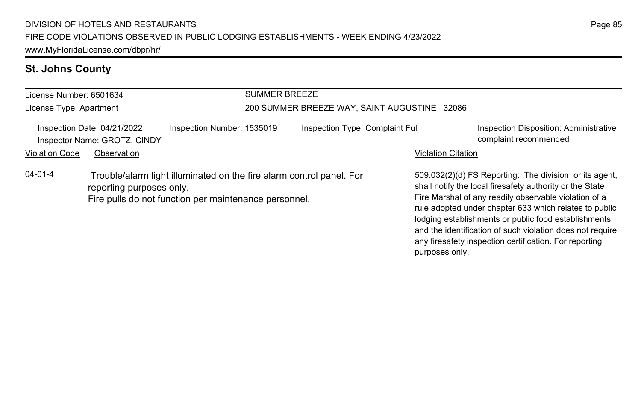#### **St. Johns County**

#### License Number: 6501634 License Type: Apartment SUMMER BREEZE 200 SUMMER BREEZE WAY, SAINT AUGUSTINE 32086 Inspection Date: 04/21/2022 Inspection Number: 1535019 Inspection Type: Complaint Full Inspection Disposition: Administrative Inspector Name: GROTZ, CINDY complaint recommended Violation Code Observation **Violation Code** Observation **Violation** Violation Citation Citation Citation Citation 509.032(2)(d) FS Reporting: The division, or its agent, shall notify the local firesafety authority or the State Fire Marshal of any readily observable violation of a rule adopted under chapter 633 which relates to public lodging establishments or public food establishments, and the identification of such violation does not require 04-01-4 Trouble/alarm light illuminated on the fire alarm control panel. For reporting purposes only. Fire pulls do not function per maintenance personnel.

any firesafety inspection certification. For reporting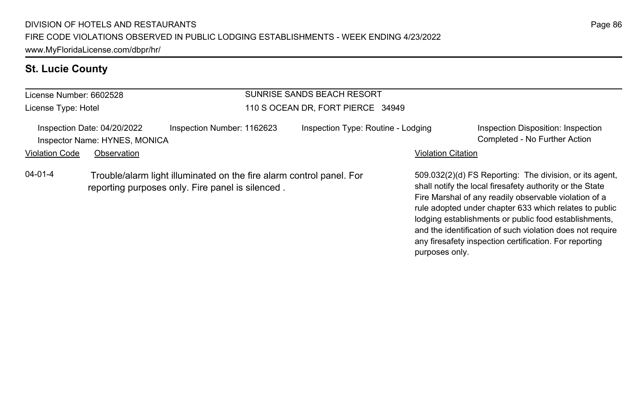#### **St. Lucie County**

#### License Number: 6602528 License Type: Hotel SUNRISE SANDS BEACH RESORT 110 S OCEAN DR, FORT PIERCE 34949 Inspection Date: 04/20/2022 Inspection Number: 1162623 Inspection Type: Routine - Lodging Inspection Disposition: Inspection Inspector Name: HYNES, MONICA Completed - No Further Action Violation Code Observation **Violation Code Observation** Violation Citation Citation Citation Citation Citation Citation Citation Citation Citation Citation Citation Citation Citation Citation Citation Citation Citation Cit 509.032(2)(d) FS Reporting: The division, or its agent, shall notify the local firesafety authority or the State Fire Marshal of any readily observable violation of a 04-01-4 Trouble/alarm light illuminated on the fire alarm control panel. For reporting purposes only. Fire panel is silenced .

rule adopted under chapter 633 which relates to public lodging establishments or public food establishments, and the identification of such violation does not require any firesafety inspection certification. For reporting

purposes only.

Page 86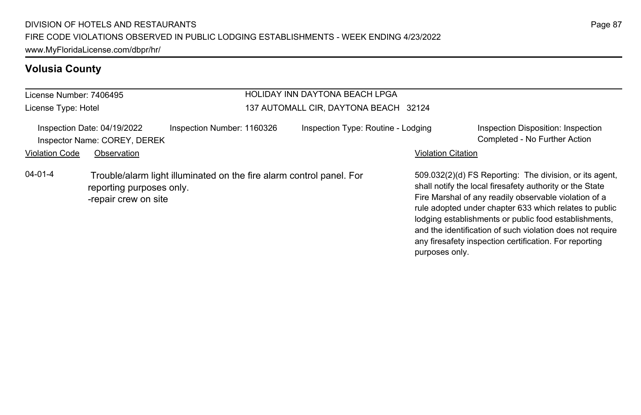License Number: 7406495 License Type: Hotel

#### HOLIDAY INN DAYTONA BEACH LPGA 137 AUTOMALL CIR, DAYTONA BEACH 32124

| Inspection Date: 04/19/2022  | Inspection Number: 1160326 |
|------------------------------|----------------------------|
| Inspector Name: COREY, DEREK |                            |

6 Inspection Type: Routine - Lodging **Inspection Disposition: Inspection** 

Completed - No Further Action

#### Violation Code Observation **Violation Code** Observation **Violation** Violation Citation Citation Citation Citation

04-01-4 Trouble/alarm light illuminated on the fire alarm control panel. For reporting purposes only. -repair crew on site

509.032(2)(d) FS Reporting: The division, or its agent, shall notify the local firesafety authority or the State Fire Marshal of any readily observable violation of a rule adopted under chapter 633 which relates to public lodging establishments or public food establishments, and the identification of such violation does not require any firesafety inspection certification. For reporting purposes only.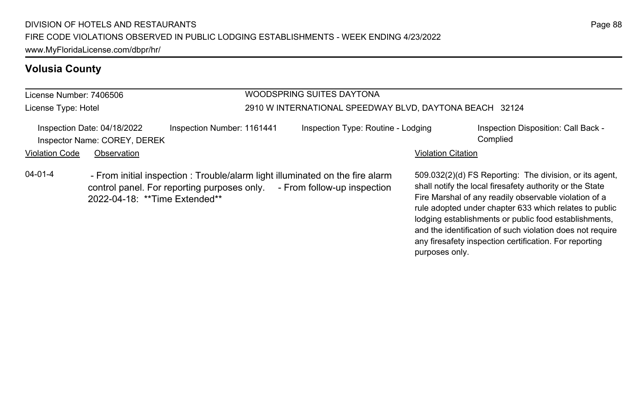| License Number: 7406506 |                                                             |                                                                                                                                                               | WOODSPRING SUITES DAYTONA                               |                           |                                                                                                                                                                                                                                                                                                 |  |
|-------------------------|-------------------------------------------------------------|---------------------------------------------------------------------------------------------------------------------------------------------------------------|---------------------------------------------------------|---------------------------|-------------------------------------------------------------------------------------------------------------------------------------------------------------------------------------------------------------------------------------------------------------------------------------------------|--|
| License Type: Hotel     |                                                             |                                                                                                                                                               | 2910 W INTERNATIONAL SPEEDWAY BLVD, DAYTONA BEACH 32124 |                           |                                                                                                                                                                                                                                                                                                 |  |
|                         | Inspection Date: 04/18/2022<br>Inspector Name: COREY, DEREK | Inspection Number: 1161441                                                                                                                                    | Inspection Type: Routine - Lodging                      |                           | Inspection Disposition: Call Back -<br>Complied                                                                                                                                                                                                                                                 |  |
| Violation Code          | Observation                                                 |                                                                                                                                                               |                                                         | <b>Violation Citation</b> |                                                                                                                                                                                                                                                                                                 |  |
| 04-01-4                 |                                                             | - From initial inspection : Trouble/alarm light illuminated on the fire alarm<br>control panel. For reporting purposes only.<br>2022-04-18: **Time Extended** | - From follow-up inspection                             |                           | 509.032(2)(d) FS Reporting: The division, or its agent.<br>shall notify the local firesafety authority or the State<br>Fire Marshal of any readily observable violation of a<br>rule adopted under chapter 633 which relates to public<br>lodging establishments or public food establishments, |  |

Page 88

and the identification of such violation does not require any firesafety inspection certification. For reporting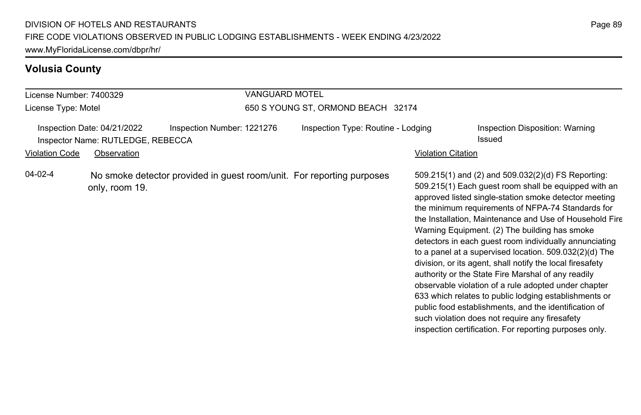| License Number: 7400329                                          |                |                                                                       | <b>VANGUARD MOTEL</b>              |                           |                                                                                                                                                                                                                                                                                                                                                                                                                                                                                                                                                                                                                                                                                                                                                                                                                                                                   |  |  |
|------------------------------------------------------------------|----------------|-----------------------------------------------------------------------|------------------------------------|---------------------------|-------------------------------------------------------------------------------------------------------------------------------------------------------------------------------------------------------------------------------------------------------------------------------------------------------------------------------------------------------------------------------------------------------------------------------------------------------------------------------------------------------------------------------------------------------------------------------------------------------------------------------------------------------------------------------------------------------------------------------------------------------------------------------------------------------------------------------------------------------------------|--|--|
| License Type: Motel                                              |                |                                                                       | 650 S YOUNG ST, ORMOND BEACH 32174 |                           |                                                                                                                                                                                                                                                                                                                                                                                                                                                                                                                                                                                                                                                                                                                                                                                                                                                                   |  |  |
| Inspection Date: 04/21/2022<br>Inspector Name: RUTLEDGE, REBECCA |                | Inspection Number: 1221276                                            | Inspection Type: Routine - Lodging |                           | Inspection Disposition: Warning<br>Issued                                                                                                                                                                                                                                                                                                                                                                                                                                                                                                                                                                                                                                                                                                                                                                                                                         |  |  |
| <b>Violation Code</b>                                            | Observation    |                                                                       |                                    | <b>Violation Citation</b> |                                                                                                                                                                                                                                                                                                                                                                                                                                                                                                                                                                                                                                                                                                                                                                                                                                                                   |  |  |
| $04 - 02 - 4$                                                    | only, room 19. | No smoke detector provided in quest room/unit. For reporting purposes |                                    |                           | 509.215(1) and (2) and 509.032(2)(d) FS Reporting:<br>509.215(1) Each guest room shall be equipped with an<br>approved listed single-station smoke detector meeting<br>the minimum requirements of NFPA-74 Standards for<br>the Installation, Maintenance and Use of Household Fire<br>Warning Equipment. (2) The building has smoke<br>detectors in each quest room individually annunciating<br>to a panel at a supervised location. 509.032(2)(d) The<br>division, or its agent, shall notify the local firesafety<br>authority or the State Fire Marshal of any readily<br>observable violation of a rule adopted under chapter<br>633 which relates to public lodging establishments or<br>public food establishments, and the identification of<br>such violation does not require any firesafety<br>inspection certification. For reporting purposes only. |  |  |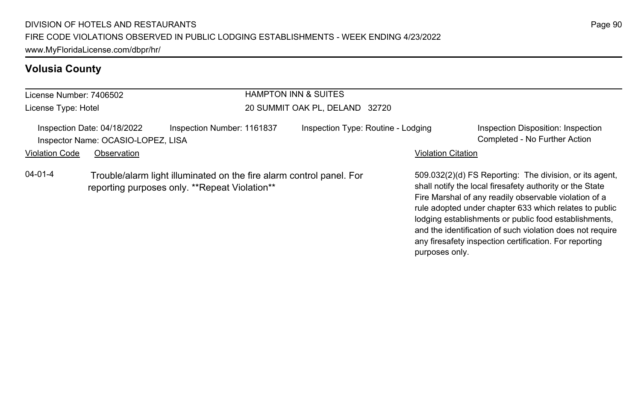| License Number: 7406502                                                                         |             |                                                                                                                       | <b>HAMPTON INN &amp; SUITES</b>    |                                |                                                                     |                           |                                                                                                                                                                                                                                        |
|-------------------------------------------------------------------------------------------------|-------------|-----------------------------------------------------------------------------------------------------------------------|------------------------------------|--------------------------------|---------------------------------------------------------------------|---------------------------|----------------------------------------------------------------------------------------------------------------------------------------------------------------------------------------------------------------------------------------|
| License Type: Hotel                                                                             |             |                                                                                                                       |                                    | 20 SUMMIT OAK PL, DELAND 32720 |                                                                     |                           |                                                                                                                                                                                                                                        |
| Inspection Number: 1161837<br>Inspection Date: 04/18/2022<br>Inspector Name: OCASIO-LOPEZ, LISA |             |                                                                                                                       | Inspection Type: Routine - Lodging |                                | Inspection Disposition: Inspection<br>Completed - No Further Action |                           |                                                                                                                                                                                                                                        |
| <b>Violation Code</b>                                                                           | Observation |                                                                                                                       |                                    |                                |                                                                     | <b>Violation Citation</b> |                                                                                                                                                                                                                                        |
| 04-01-4                                                                                         |             | Trouble/alarm light illuminated on the fire alarm control panel. For<br>reporting purposes only. **Repeat Violation** |                                    |                                |                                                                     |                           | 509.032(2)(d) FS Reporting: The division, or its agent,<br>shall notify the local firesafety authority or the State<br>Fire Marshal of any readily observable violation of a<br>rula adantad undar ahantar COO which relates to nublic |

rule adopted under chapter 633 which relates to public lodging establishments or public food establishments, and the identification of such violation does not require any firesafety inspection certification. For reporting purposes only.